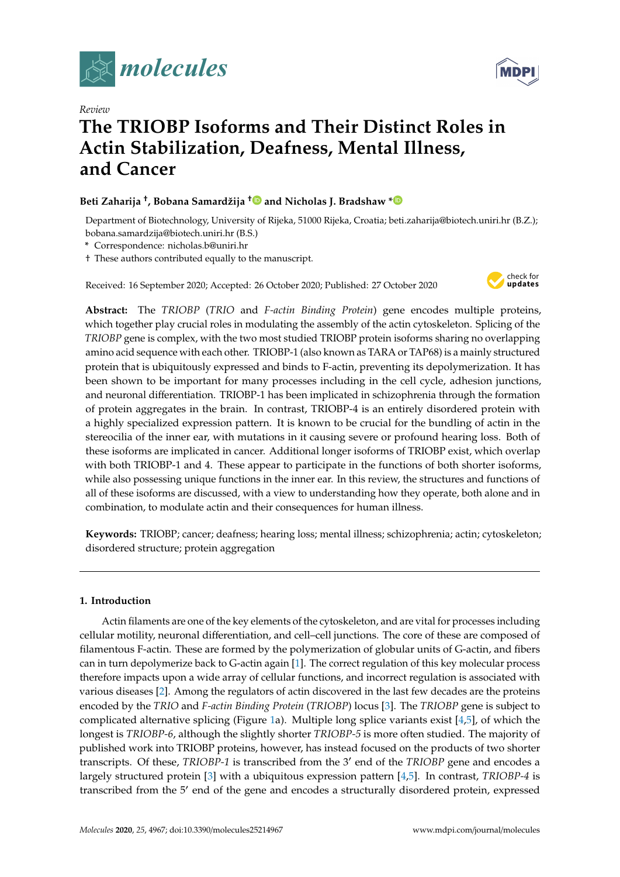

*Review*



# **The TRIOBP Isoforms and Their Distinct Roles in Actin Stabilization, Deafness, Mental Illness, and Cancer**

# **Beti Zaharija** † **, Bobana Samardžija** [†](https://orcid.org/0000-0001-7745-2337) **and Nicholas J. Bradshaw [\\*](https://orcid.org/0000-0001-5581-8828)**

Department of Biotechnology, University of Rijeka, 51000 Rijeka, Croatia; beti.zaharija@biotech.uniri.hr (B.Z.); bobana.samardzija@biotech.uniri.hr (B.S.)

**\*** Correspondence: nicholas.b@uniri.hr

† These authors contributed equally to the manuscript.

Received: 16 September 2020; Accepted: 26 October 2020; Published: 27 October 2020



**Abstract:** The *TRIOBP* (*TRIO* and *F-actin Binding Protein*) gene encodes multiple proteins, which together play crucial roles in modulating the assembly of the actin cytoskeleton. Splicing of the *TRIOBP* gene is complex, with the two most studied TRIOBP protein isoforms sharing no overlapping amino acid sequence with each other. TRIOBP-1 (also known as TARA or TAP68) is a mainly structured protein that is ubiquitously expressed and binds to F-actin, preventing its depolymerization. It has been shown to be important for many processes including in the cell cycle, adhesion junctions, and neuronal differentiation. TRIOBP-1 has been implicated in schizophrenia through the formation of protein aggregates in the brain. In contrast, TRIOBP-4 is an entirely disordered protein with a highly specialized expression pattern. It is known to be crucial for the bundling of actin in the stereocilia of the inner ear, with mutations in it causing severe or profound hearing loss. Both of these isoforms are implicated in cancer. Additional longer isoforms of TRIOBP exist, which overlap with both TRIOBP-1 and 4. These appear to participate in the functions of both shorter isoforms, while also possessing unique functions in the inner ear. In this review, the structures and functions of all of these isoforms are discussed, with a view to understanding how they operate, both alone and in combination, to modulate actin and their consequences for human illness.

**Keywords:** TRIOBP; cancer; deafness; hearing loss; mental illness; schizophrenia; actin; cytoskeleton; disordered structure; protein aggregation

# **1. Introduction**

Actin filaments are one of the key elements of the cytoskeleton, and are vital for processes including cellular motility, neuronal differentiation, and cell–cell junctions. The core of these are composed of filamentous F-actin. These are formed by the polymerization of globular units of G-actin, and fibers can in turn depolymerize back to G-actin again [\[1\]](#page-13-0). The correct regulation of this key molecular process therefore impacts upon a wide array of cellular functions, and incorrect regulation is associated with various diseases [\[2\]](#page-13-1). Among the regulators of actin discovered in the last few decades are the proteins encoded by the *TRIO* and *F-actin Binding Protein* (*TRIOBP*) locus [\[3\]](#page-13-2). The *TRIOBP* gene is subject to complicated alternative splicing (Figure [1a](#page-1-0)). Multiple long splice variants exist [\[4](#page-13-3)[,5\]](#page-14-0), of which the longest is *TRIOBP-6*, although the slightly shorter *TRIOBP-5* is more often studied. The majority of published work into TRIOBP proteins, however, has instead focused on the products of two shorter transcripts. Of these, *TRIOBP-1* is transcribed from the 3' end of the *TRIOBP* gene and encodes a largely structured protein [\[3\]](#page-13-2) with a ubiquitous expression pattern [\[4,](#page-13-3)[5\]](#page-14-0). In contrast, *TRIOBP-4* is transcribed from the 5' end of the gene and encodes a structurally disordered protein, expressed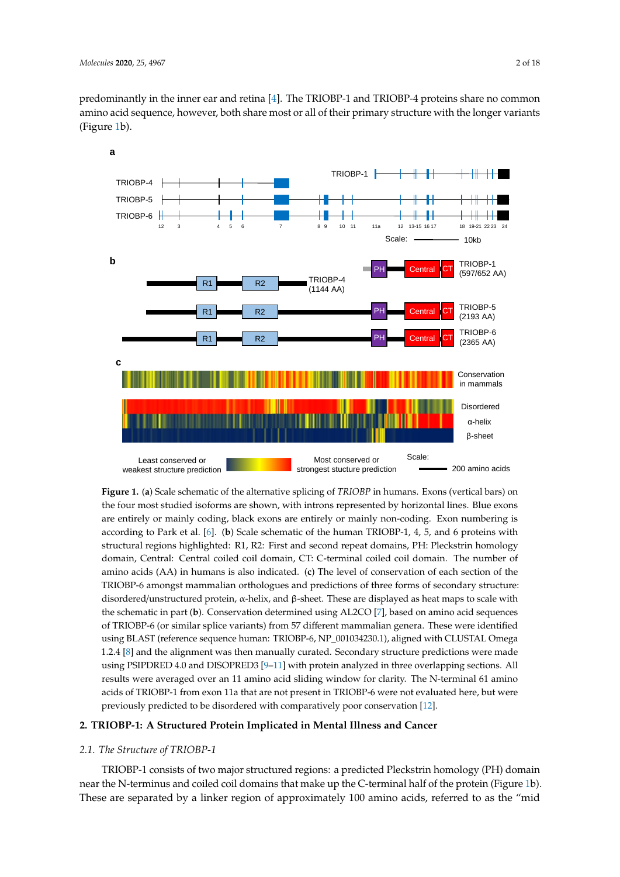predominantly in the inner ear and retina [\[4\]](#page-13-3). The TRIOBP-1 and TRIOBP-4 proteins share no common amino acid sequence, however, both share most or all of their primary structure with the longer variants (Figure [1b](#page-1-0)).

<span id="page-1-0"></span>

**Figure 1.** (**a**) Scale schematic of the alternative splicing of *TRIOBP* in humans. Exons (vertical bars) on the four most studied isoforms are shown, with introns represented by horizontal lines. Blue exons are entirely or mainly coding, black exons are entirely or mainly non-coding. Exon numbering is according to Park et al. [\[6\]](#page-14-1). (**b**) Scale schematic of the human TRIOBP-1, 4, 5, and 6 proteins with structural regions highlighted: R1, R2: First and second repeat domains, PH: Pleckstrin homology domain, Central: Central coiled coil domain, CT: C-terminal coiled coil domain. The number of amino acids (AA) in humans is also indicated. (**c**) The level of conservation of each section of the TRIOBP-6 amongst mammalian orthologues and predictions of three forms of secondary structure: disordered/unstructured protein,  $\alpha$ -helix, and  $\beta$ -sheet. These are displayed as heat maps to scale with the schematic in part (**b**). Conservation determined using AL2CO [\[7\]](#page-14-2), based on amino acid sequences of TRIOBP-6 (or similar splice variants) from 57 different mammalian genera. These were identified using BLAST (reference sequence human: TRIOBP-6, NP\_001034230.1), aligned with CLUSTAL Omega 1.2.4 [\[8\]](#page-14-3) and the alignment was then manually curated. Secondary structure predictions were made using PSIPDRED 4.0 and DISOPRED3  $[9-11]$  $[9-11]$  with protein analyzed in three overlapping sections. All results were averaged over an 11 amino acid sliding window for clarity. The N-terminal 61 amino acids of TRIOBP-1 from exon 11a that are not present in TRIOBP-6 were not evaluated here, but were previously predicted to be disordered with comparatively poor conservation [\[12\]](#page-14-6).

# **2. TRIOBP-1: A Structured Protein Implicated in Mental Illness and Cancer**

#### *2.1. The Structure of TRIOBP-1*

TRIOBP-1 consists of two major structured regions: a predicted Pleckstrin homology (PH) domain near the N-terminus and coiled coil domains that make up the C-terminal half of the protein (Figure [1b](#page-1-0)). These are separated by a linker region of approximately 100 amino acids, referred to as the "mid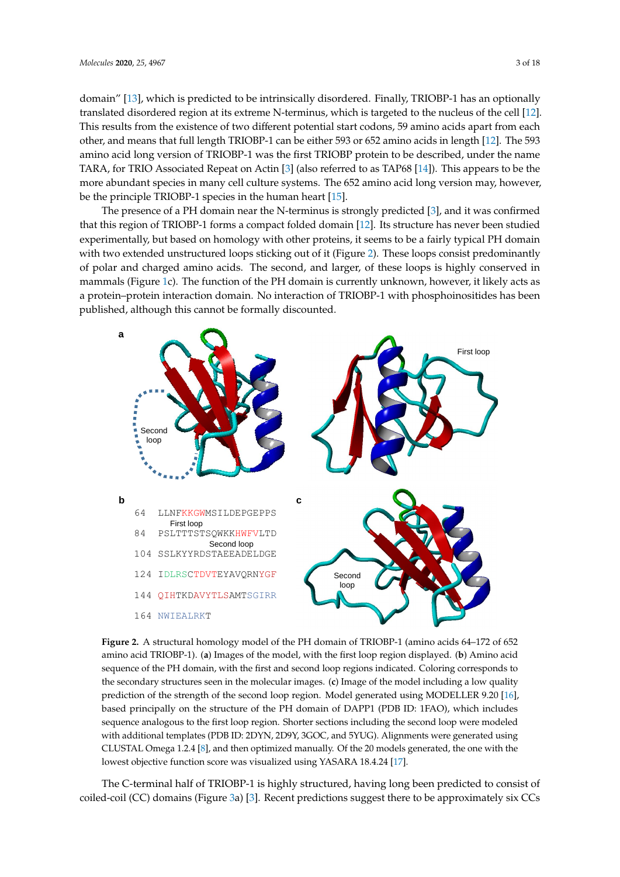domain" [\[13\]](#page-14-7), which is predicted to be intrinsically disordered. Finally, TRIOBP-1 has an optionally translated disordered region at its extreme N-terminus, which is targeted to the nucleus of the cell [\[12\]](#page-14-6). This results from the existence of two different potential start codons, 59 amino acids apart from each other, and means that full length TRIOBP-1 can be either 593 or 652 amino acids in length [\[12\]](#page-14-6). The 593 amino acid long version of TRIOBP-1 was the first TRIOBP protein to be described, under the name TARA, for TRIO Associated Repeat on Actin [\[3\]](#page-13-2) (also referred to as TAP68 [\[14\]](#page-14-8)). This appears to be the more abundant species in many cell culture systems. The 652 amino acid long version may, however, be the principle TRIOBP-1 species in the human heart [\[15\]](#page-14-9).

The presence of a PH domain near the N-terminus is strongly predicted [\[3\]](#page-13-2), and it was confirmed that this region of TRIOBP-1 forms a compact folded domain [\[12\]](#page-14-6). Its structure has never been studied experimentally, but based on homology with other proteins, it seems to be a fairly typical PH domain with two extended unstructured loops sticking out of it (Figure [2\)](#page-2-0). These loops consist predominantly of polar and charged amino acids. The second, and larger, of these loops is highly conserved in mammals (Figure [1c](#page-1-0)). The function of the PH domain is currently unknown, however, it likely acts as a protein–protein interaction domain. No interaction of TRIOBP-1 with phosphoinositides has been published, although this cannot be formally discounted.

<span id="page-2-0"></span>

**Figure 2.** A structural homology model of the PH domain of TRIOBP-1 (amino acids 64–172 of 652 amino acid TRIOBP-1). (**a**) Images of the model, with the first loop region displayed. (**b**) Amino acid sequence of the PH domain, with the first and second loop regions indicated. Coloring corresponds to the secondary structures seen in the molecular images. (**c**) Image of the model including a low quality prediction of the strength of the second loop region. Model generated using MODELLER 9.20 [\[16\]](#page-14-10), based principally on the structure of the PH domain of DAPP1 (PDB ID: 1FAO), which includes sequence analogous to the first loop region. Shorter sections including the second loop were modeled with additional templates (PDB ID: 2DYN, 2D9Y, 3GOC, and 5YUG). Alignments were generated using CLUSTAL Omega 1.2.4 [\[8\]](#page-14-3), and then optimized manually. Of the 20 models generated, the one with the lowest objective function score was visualized using YASARA 18.4.24 [\[17\]](#page-14-11).

The C-terminal half of TRIOBP-1 is highly structured, having long been predicted to consist of coiled-coil (CC) domains (Figure [3a](#page-3-0)) [\[3\]](#page-13-2). Recent predictions suggest there to be approximately six CCs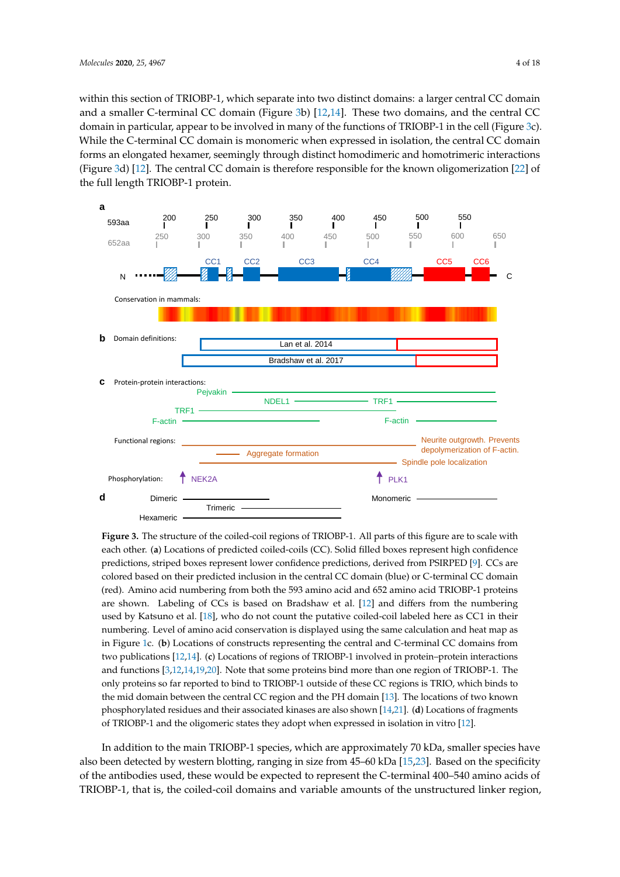within this section of TRIOBP-1, which separate into two distinct domains: a larger central CC domain and a smaller C-terminal CC domain (Figure [3b](#page-3-0)) [\[12,](#page-14-6)[14\]](#page-14-8). These two domains, and the central CC domain in particular, appear to be involved in many of the functions of TRIOBP-1 in the cell (Figure [3c](#page-3-0)). While the C-terminal CC domain is monomeric when expressed in isolation, the central CC domain forms an elongated hexamer, seemingly through distinct homodimeric and homotrimeric interactions (Figure [3d](#page-3-0)) [\[12\]](#page-14-6). The central CC domain is therefore responsible for the known oligomerization [\[22\]](#page-14-12) of the full length TRIOBP-1 protein.

<span id="page-3-0"></span>

**Figure 3.** The structure of the coiled-coil regions of TRIOBP-1. All parts of this figure are to scale with each other. (**a**) Locations of predicted coiled-coils (CC). Solid filled boxes represent high confidence predictions, striped boxes represent lower confidence predictions, derived from PSIRPED [\[9\]](#page-14-4). CCs are colored based on their predicted inclusion in the central CC domain (blue) or C-terminal CC domain (red). Amino acid numbering from both the 593 amino acid and 652 amino acid TRIOBP-1 proteins are shown. Labeling of CCs is based on Bradshaw et al. [\[12\]](#page-14-6) and differs from the numbering used by Katsuno et al. [\[18\]](#page-14-13), who do not count the putative coiled-coil labeled here as CC1 in their numbering. Level of amino acid conservation is displayed using the same calculation and heat map as in Figure [1c](#page-1-0). (**b**) Locations of constructs representing the central and C-terminal CC domains from two publications [\[12](#page-14-6)[,14\]](#page-14-8). (**c**) Locations of regions of TRIOBP-1 involved in protein–protein interactions and functions [\[3](#page-13-2)[,12,](#page-14-6)[14](#page-14-8)[,19,](#page-14-14)[20\]](#page-14-15). Note that some proteins bind more than one region of TRIOBP-1. The only proteins so far reported to bind to TRIOBP-1 outside of these CC regions is TRIO, which binds to the mid domain between the central CC region and the PH domain [\[13\]](#page-14-7). The locations of two known phosphorylated residues and their associated kinases are also shown [\[14,](#page-14-8)[21\]](#page-14-16). (**d**) Locations of fragments of TRIOBP-1 and the oligomeric states they adopt when expressed in isolation in vitro [\[12\]](#page-14-6).

In addition to the main TRIOBP-1 species, which are approximately 70 kDa, smaller species have also been detected by western blotting, ranging in size from 45–60 kDa [\[15,](#page-14-9)[23\]](#page-14-17). Based on the specificity of the antibodies used, these would be expected to represent the C-terminal 400–540 amino acids of TRIOBP-1, that is, the coiled-coil domains and variable amounts of the unstructured linker region,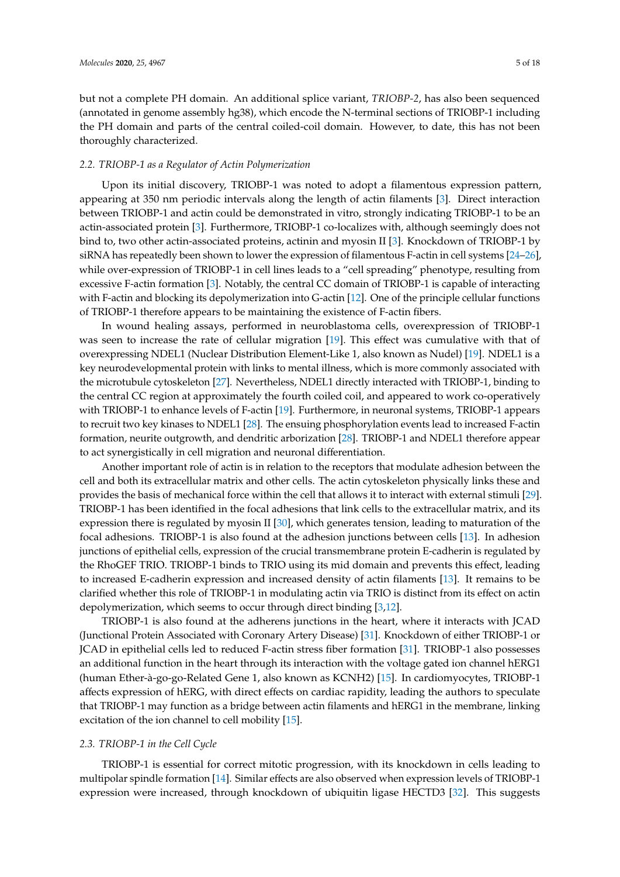but not a complete PH domain. An additional splice variant, *TRIOBP-2*, has also been sequenced (annotated in genome assembly hg38), which encode the N-terminal sections of TRIOBP-1 including the PH domain and parts of the central coiled-coil domain. However, to date, this has not been thoroughly characterized.

# *2.2. TRIOBP-1 as a Regulator of Actin Polymerization*

Upon its initial discovery, TRIOBP-1 was noted to adopt a filamentous expression pattern, appearing at 350 nm periodic intervals along the length of actin filaments [\[3\]](#page-13-2). Direct interaction between TRIOBP-1 and actin could be demonstrated in vitro, strongly indicating TRIOBP-1 to be an actin-associated protein [\[3\]](#page-13-2). Furthermore, TRIOBP-1 co-localizes with, although seemingly does not bind to, two other actin-associated proteins, actinin and myosin II [\[3\]](#page-13-2). Knockdown of TRIOBP-1 by siRNA has repeatedly been shown to lower the expression of filamentous F-actin in cell systems [\[24](#page-14-18)[–26\]](#page-15-0), while over-expression of TRIOBP-1 in cell lines leads to a "cell spreading" phenotype, resulting from excessive F-actin formation [\[3\]](#page-13-2). Notably, the central CC domain of TRIOBP-1 is capable of interacting with F-actin and blocking its depolymerization into G-actin [\[12\]](#page-14-6). One of the principle cellular functions of TRIOBP-1 therefore appears to be maintaining the existence of F-actin fibers.

In wound healing assays, performed in neuroblastoma cells, overexpression of TRIOBP-1 was seen to increase the rate of cellular migration [\[19\]](#page-14-14). This effect was cumulative with that of overexpressing NDEL1 (Nuclear Distribution Element-Like 1, also known as Nudel) [\[19\]](#page-14-14). NDEL1 is a key neurodevelopmental protein with links to mental illness, which is more commonly associated with the microtubule cytoskeleton [\[27\]](#page-15-1). Nevertheless, NDEL1 directly interacted with TRIOBP-1, binding to the central CC region at approximately the fourth coiled coil, and appeared to work co-operatively with TRIOBP-1 to enhance levels of F-actin [\[19\]](#page-14-14). Furthermore, in neuronal systems, TRIOBP-1 appears to recruit two key kinases to NDEL1 [\[28\]](#page-15-2). The ensuing phosphorylation events lead to increased F-actin formation, neurite outgrowth, and dendritic arborization [\[28\]](#page-15-2). TRIOBP-1 and NDEL1 therefore appear to act synergistically in cell migration and neuronal differentiation.

Another important role of actin is in relation to the receptors that modulate adhesion between the cell and both its extracellular matrix and other cells. The actin cytoskeleton physically links these and provides the basis of mechanical force within the cell that allows it to interact with external stimuli [\[29\]](#page-15-3). TRIOBP-1 has been identified in the focal adhesions that link cells to the extracellular matrix, and its expression there is regulated by myosin II [\[30\]](#page-15-4), which generates tension, leading to maturation of the focal adhesions. TRIOBP-1 is also found at the adhesion junctions between cells [\[13\]](#page-14-7). In adhesion junctions of epithelial cells, expression of the crucial transmembrane protein E-cadherin is regulated by the RhoGEF TRIO. TRIOBP-1 binds to TRIO using its mid domain and prevents this effect, leading to increased E-cadherin expression and increased density of actin filaments [\[13\]](#page-14-7). It remains to be clarified whether this role of TRIOBP-1 in modulating actin via TRIO is distinct from its effect on actin depolymerization, which seems to occur through direct binding [\[3](#page-13-2)[,12\]](#page-14-6).

TRIOBP-1 is also found at the adherens junctions in the heart, where it interacts with JCAD (Junctional Protein Associated with Coronary Artery Disease) [\[31\]](#page-15-5). Knockdown of either TRIOBP-1 or JCAD in epithelial cells led to reduced F-actin stress fiber formation [\[31\]](#page-15-5). TRIOBP-1 also possesses an additional function in the heart through its interaction with the voltage gated ion channel hERG1 (human Ether-à-go-go-Related Gene 1, also known as KCNH2) [\[15\]](#page-14-9). In cardiomyocytes, TRIOBP-1 affects expression of hERG, with direct effects on cardiac rapidity, leading the authors to speculate that TRIOBP-1 may function as a bridge between actin filaments and hERG1 in the membrane, linking excitation of the ion channel to cell mobility [\[15\]](#page-14-9).

# *2.3. TRIOBP-1 in the Cell Cycle*

TRIOBP-1 is essential for correct mitotic progression, with its knockdown in cells leading to multipolar spindle formation [\[14\]](#page-14-8). Similar effects are also observed when expression levels of TRIOBP-1 expression were increased, through knockdown of ubiquitin ligase HECTD3 [\[32\]](#page-15-6). This suggests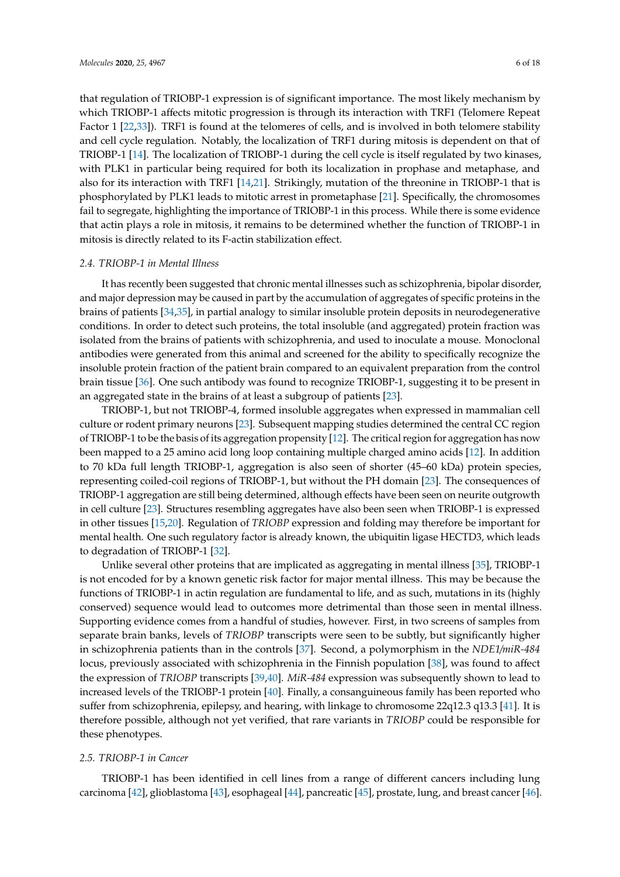that regulation of TRIOBP-1 expression is of significant importance. The most likely mechanism by which TRIOBP-1 affects mitotic progression is through its interaction with TRF1 (Telomere Repeat Factor 1 [\[22](#page-14-12)[,33\]](#page-15-7)). TRF1 is found at the telomeres of cells, and is involved in both telomere stability and cell cycle regulation. Notably, the localization of TRF1 during mitosis is dependent on that of TRIOBP-1 [\[14\]](#page-14-8). The localization of TRIOBP-1 during the cell cycle is itself regulated by two kinases, with PLK1 in particular being required for both its localization in prophase and metaphase, and also for its interaction with TRF1 [\[14,](#page-14-8)[21\]](#page-14-16). Strikingly, mutation of the threonine in TRIOBP-1 that is phosphorylated by PLK1 leads to mitotic arrest in prometaphase [\[21\]](#page-14-16). Specifically, the chromosomes fail to segregate, highlighting the importance of TRIOBP-1 in this process. While there is some evidence that actin plays a role in mitosis, it remains to be determined whether the function of TRIOBP-1 in mitosis is directly related to its F-actin stabilization effect.

## *2.4. TRIOBP-1 in Mental Illness*

It has recently been suggested that chronic mental illnesses such as schizophrenia, bipolar disorder, and major depression may be caused in part by the accumulation of aggregates of specific proteins in the brains of patients [\[34](#page-15-8)[,35\]](#page-15-9), in partial analogy to similar insoluble protein deposits in neurodegenerative conditions. In order to detect such proteins, the total insoluble (and aggregated) protein fraction was isolated from the brains of patients with schizophrenia, and used to inoculate a mouse. Monoclonal antibodies were generated from this animal and screened for the ability to specifically recognize the insoluble protein fraction of the patient brain compared to an equivalent preparation from the control brain tissue [\[36\]](#page-15-10). One such antibody was found to recognize TRIOBP-1, suggesting it to be present in an aggregated state in the brains of at least a subgroup of patients [\[23\]](#page-14-17).

TRIOBP-1, but not TRIOBP-4, formed insoluble aggregates when expressed in mammalian cell culture or rodent primary neurons [\[23\]](#page-14-17). Subsequent mapping studies determined the central CC region of TRIOBP-1 to be the basis of its aggregation propensity [\[12\]](#page-14-6). The critical region for aggregation has now been mapped to a 25 amino acid long loop containing multiple charged amino acids [\[12\]](#page-14-6). In addition to 70 kDa full length TRIOBP-1, aggregation is also seen of shorter (45–60 kDa) protein species, representing coiled-coil regions of TRIOBP-1, but without the PH domain [\[23\]](#page-14-17). The consequences of TRIOBP-1 aggregation are still being determined, although effects have been seen on neurite outgrowth in cell culture [\[23\]](#page-14-17). Structures resembling aggregates have also been seen when TRIOBP-1 is expressed in other tissues [\[15,](#page-14-9)[20\]](#page-14-15). Regulation of *TRIOBP* expression and folding may therefore be important for mental health. One such regulatory factor is already known, the ubiquitin ligase HECTD3, which leads to degradation of TRIOBP-1 [\[32\]](#page-15-6).

Unlike several other proteins that are implicated as aggregating in mental illness [\[35\]](#page-15-9), TRIOBP-1 is not encoded for by a known genetic risk factor for major mental illness. This may be because the functions of TRIOBP-1 in actin regulation are fundamental to life, and as such, mutations in its (highly conserved) sequence would lead to outcomes more detrimental than those seen in mental illness. Supporting evidence comes from a handful of studies, however. First, in two screens of samples from separate brain banks, levels of *TRIOBP* transcripts were seen to be subtly, but significantly higher in schizophrenia patients than in the controls [\[37\]](#page-15-11). Second, a polymorphism in the *NDE1*/*miR-484* locus, previously associated with schizophrenia in the Finnish population [\[38\]](#page-15-12), was found to affect the expression of *TRIOBP* transcripts [\[39](#page-15-13)[,40\]](#page-15-14). *MiR-484* expression was subsequently shown to lead to increased levels of the TRIOBP-1 protein [\[40\]](#page-15-14). Finally, a consanguineous family has been reported who suffer from schizophrenia, epilepsy, and hearing, with linkage to chromosome 22q12.3 q13.3 [\[41\]](#page-15-15). It is therefore possible, although not yet verified, that rare variants in *TRIOBP* could be responsible for these phenotypes.

#### *2.5. TRIOBP-1 in Cancer*

TRIOBP-1 has been identified in cell lines from a range of different cancers including lung carcinoma [\[42\]](#page-15-16), glioblastoma [\[43\]](#page-16-0), esophageal [\[44\]](#page-16-1), pancreatic [\[45\]](#page-16-2), prostate, lung, and breast cancer [\[46\]](#page-16-3).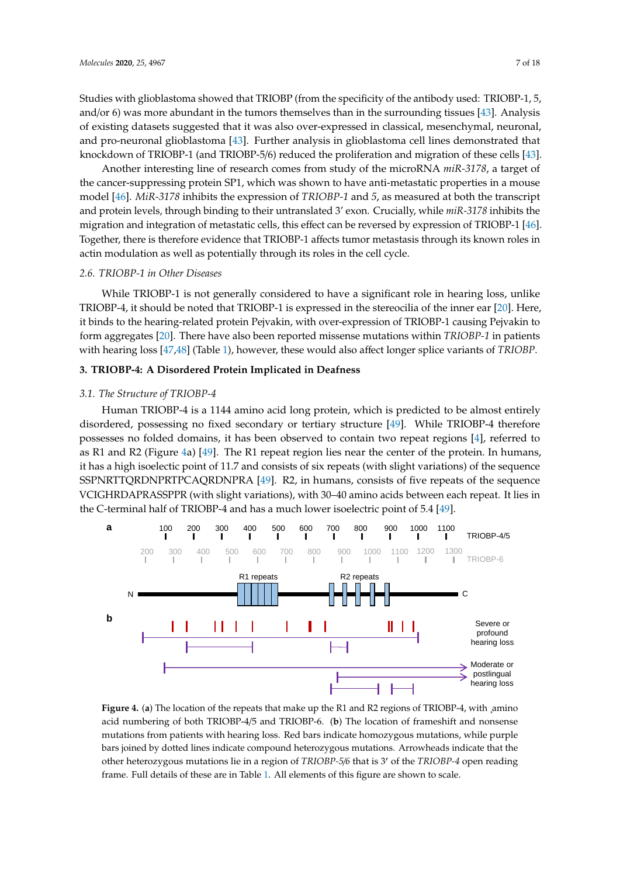Studies with glioblastoma showed that TRIOBP (from the specificity of the antibody used: TRIOBP-1, 5, and/or 6) was more abundant in the tumors themselves than in the surrounding tissues [\[43\]](#page-16-0). Analysis of existing datasets suggested that it was also over-expressed in classical, mesenchymal, neuronal, and pro-neuronal glioblastoma [\[43\]](#page-16-0). Further analysis in glioblastoma cell lines demonstrated that knockdown of TRIOBP-1 (and TRIOBP-5/6) reduced the proliferation and migration of these cells [\[43\]](#page-16-0).

Another interesting line of research comes from study of the microRNA *miR-3178*, a target of the cancer-suppressing protein SP1, which was shown to have anti-metastatic properties in a mouse model [\[46\]](#page-16-3). *MiR-3178* inhibits the expression of *TRIOBP-1* and *5*, as measured at both the transcript and protein levels, through binding to their untranslated 3' exon. Crucially, while *miR-3178* inhibits the migration and integration of metastatic cells, this effect can be reversed by expression of TRIOBP-1 [\[46\]](#page-16-3). Together, there is therefore evidence that TRIOBP-1 affects tumor metastasis through its known roles in actin modulation as well as potentially through its roles in the cell cycle.

# *2.6. TRIOBP-1 in Other Diseases*

While TRIOBP-1 is not generally considered to have a significant role in hearing loss, unlike TRIOBP-4, it should be noted that TRIOBP-1 is expressed in the stereocilia of the inner ear [\[20\]](#page-14-15). Here, it binds to the hearing-related protein Pejvakin, with over-expression of TRIOBP-1 causing Pejvakin to form aggregates [\[20\]](#page-14-15). There have also been reported missense mutations within *TRIOBP-1* in patients with hearing loss [\[47](#page-16-4)[,48\]](#page-16-5) (Table [1\)](#page-9-0), however, these would also affect longer splice variants of *TRIOBP*.

# **3. TRIOBP-4: A Disordered Protein Implicated in Deafness**

#### *3.1. The Structure of TRIOBP-4*

Human TRIOBP-4 is a 1144 amino acid long protein, which is predicted to be almost entirely disordered, possessing no fixed secondary or tertiary structure [\[49\]](#page-16-6). While TRIOBP-4 therefore possesses no folded domains, it has been observed to contain two repeat regions [\[4\]](#page-13-3), referred to as R1 and R2 (Figure [4a](#page-6-0)) [\[49\]](#page-16-6). The R1 repeat region lies near the center of the protein. In humans, it has a high isoelectic point of 11.7 and consists of six repeats (with slight variations) of the sequence SSPNRTTQRDNPRTPCAQRDNPRA [\[49\]](#page-16-6). R2, in humans, consists of five repeats of the sequence VCIGHRDAPRASSPPR (with slight variations), with 30–40 amino acids between each repeat. It lies in the C-terminal half of TRIOBP-4 and has a much lower isoelectric point of 5.4 [\[49\]](#page-16-6).

<span id="page-6-0"></span>

**Figure 4.** (**a**) The location of the repeats that make up the R1 and R2 regions of TRIOBP-4, with ¸amino acid numbering of both TRIOBP-4/5 and TRIOBP-6. (**b**) The location of frameshift and nonsense mutations from patients with hearing loss. Red bars indicate homozygous mutations, while purple bars joined by dotted lines indicate compound heterozygous mutations. Arrowheads indicate that the other heterozygous mutations lie in a region of *TRIOBP-5/6* that is 3' of the *TRIOBP-4* open reading frame. Full details of these are in Table [1.](#page-9-0) All elements of this figure are shown to scale.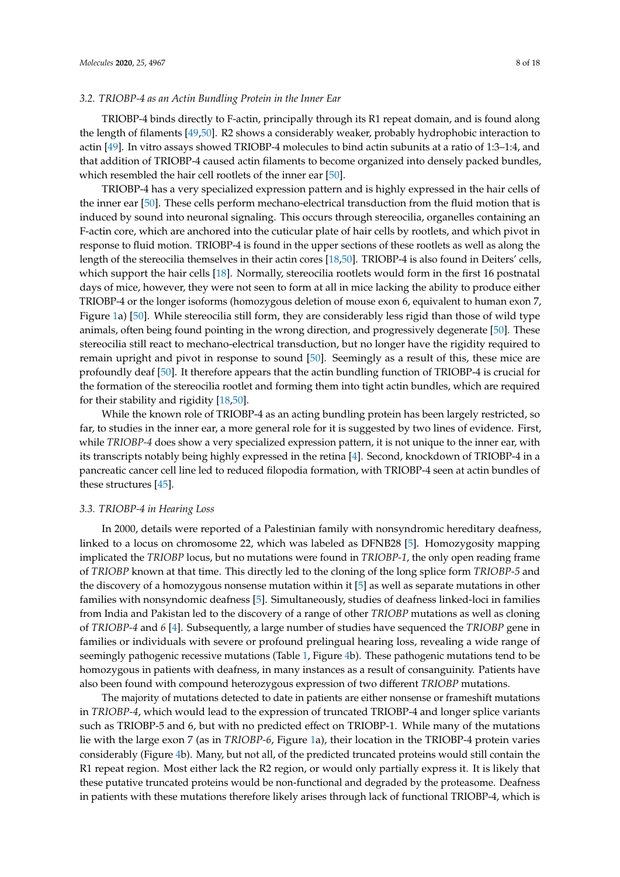#### *3.2. TRIOBP-4 as an Actin Bundling Protein in the Inner Ear*

TRIOBP-4 binds directly to F-actin, principally through its R1 repeat domain, and is found along the length of filaments [\[49,](#page-16-6)[50\]](#page-16-7). R2 shows a considerably weaker, probably hydrophobic interaction to actin [\[49\]](#page-16-6). In vitro assays showed TRIOBP-4 molecules to bind actin subunits at a ratio of 1:3–1:4, and that addition of TRIOBP-4 caused actin filaments to become organized into densely packed bundles, which resembled the hair cell rootlets of the inner ear [\[50\]](#page-16-7).

TRIOBP-4 has a very specialized expression pattern and is highly expressed in the hair cells of the inner ear [\[50\]](#page-16-7). These cells perform mechano-electrical transduction from the fluid motion that is induced by sound into neuronal signaling. This occurs through stereocilia, organelles containing an F-actin core, which are anchored into the cuticular plate of hair cells by rootlets, and which pivot in response to fluid motion. TRIOBP-4 is found in the upper sections of these rootlets as well as along the length of the stereocilia themselves in their actin cores [\[18](#page-14-13)[,50\]](#page-16-7). TRIOBP-4 is also found in Deiters' cells, which support the hair cells [\[18\]](#page-14-13). Normally, stereocilia rootlets would form in the first 16 postnatal days of mice, however, they were not seen to form at all in mice lacking the ability to produce either TRIOBP-4 or the longer isoforms (homozygous deletion of mouse exon 6, equivalent to human exon 7, Figure [1a](#page-1-0)) [\[50\]](#page-16-7). While stereocilia still form, they are considerably less rigid than those of wild type animals, often being found pointing in the wrong direction, and progressively degenerate [\[50\]](#page-16-7). These stereocilia still react to mechano-electrical transduction, but no longer have the rigidity required to remain upright and pivot in response to sound [\[50\]](#page-16-7). Seemingly as a result of this, these mice are profoundly deaf [\[50\]](#page-16-7). It therefore appears that the actin bundling function of TRIOBP-4 is crucial for the formation of the stereocilia rootlet and forming them into tight actin bundles, which are required for their stability and rigidity [\[18](#page-14-13)[,50\]](#page-16-7).

While the known role of TRIOBP-4 as an acting bundling protein has been largely restricted, so far, to studies in the inner ear, a more general role for it is suggested by two lines of evidence. First, while *TRIOBP-4* does show a very specialized expression pattern, it is not unique to the inner ear, with its transcripts notably being highly expressed in the retina [\[4\]](#page-13-3). Second, knockdown of TRIOBP-4 in a pancreatic cancer cell line led to reduced filopodia formation, with TRIOBP-4 seen at actin bundles of these structures [\[45\]](#page-16-2).

# *3.3. TRIOBP-4 in Hearing Loss*

In 2000, details were reported of a Palestinian family with nonsyndromic hereditary deafness, linked to a locus on chromosome 22, which was labeled as DFNB28 [\[5\]](#page-14-0). Homozygosity mapping implicated the *TRIOBP* locus, but no mutations were found in *TRIOBP-1*, the only open reading frame of *TRIOBP* known at that time. This directly led to the cloning of the long splice form *TRIOBP-5* and the discovery of a homozygous nonsense mutation within it [\[5\]](#page-14-0) as well as separate mutations in other families with nonsyndomic deafness [\[5\]](#page-14-0). Simultaneously, studies of deafness linked-loci in families from India and Pakistan led to the discovery of a range of other *TRIOBP* mutations as well as cloning of *TRIOBP-4* and *6* [\[4\]](#page-13-3). Subsequently, a large number of studies have sequenced the *TRIOBP* gene in families or individuals with severe or profound prelingual hearing loss, revealing a wide range of seemingly pathogenic recessive mutations (Table [1,](#page-9-0) Figure [4b](#page-6-0)). These pathogenic mutations tend to be homozygous in patients with deafness, in many instances as a result of consanguinity. Patients have also been found with compound heterozygous expression of two different *TRIOBP* mutations.

The majority of mutations detected to date in patients are either nonsense or frameshift mutations in *TRIOBP-4*, which would lead to the expression of truncated TRIOBP-4 and longer splice variants such as TRIOBP-5 and 6, but with no predicted effect on TRIOBP-1. While many of the mutations lie with the large exon 7 (as in *TRIOBP-6*, Figure [1a](#page-1-0)), their location in the TRIOBP-4 protein varies considerably (Figure [4b](#page-6-0)). Many, but not all, of the predicted truncated proteins would still contain the R1 repeat region. Most either lack the R2 region, or would only partially express it. It is likely that these putative truncated proteins would be non-functional and degraded by the proteasome. Deafness in patients with these mutations therefore likely arises through lack of functional TRIOBP-4, which is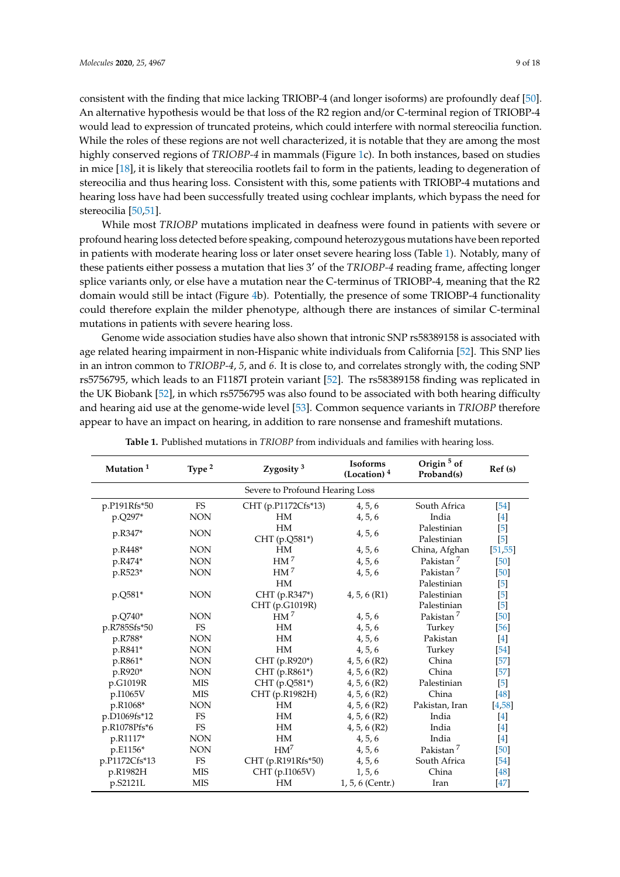consistent with the finding that mice lacking TRIOBP-4 (and longer isoforms) are profoundly deaf [\[50\]](#page-16-7). An alternative hypothesis would be that loss of the R2 region and/or C-terminal region of TRIOBP-4 would lead to expression of truncated proteins, which could interfere with normal stereocilia function. While the roles of these regions are not well characterized, it is notable that they are among the most highly conserved regions of *TRIOBP-4* in mammals (Figure [1c](#page-1-0)). In both instances, based on studies in mice [\[18\]](#page-14-13), it is likely that stereocilia rootlets fail to form in the patients, leading to degeneration of stereocilia and thus hearing loss. Consistent with this, some patients with TRIOBP-4 mutations and hearing loss have had been successfully treated using cochlear implants, which bypass the need for stereocilia [\[50,](#page-16-7)[51\]](#page-16-8).

While most *TRIOBP* mutations implicated in deafness were found in patients with severe or profound hearing loss detected before speaking, compound heterozygous mutations have been reported in patients with moderate hearing loss or later onset severe hearing loss (Table [1\)](#page-9-0). Notably, many of these patients either possess a mutation that lies 3' of the *TRIOBP-4* reading frame, affecting longer splice variants only, or else have a mutation near the C-terminus of TRIOBP-4, meaning that the R2 domain would still be intact (Figure [4b](#page-6-0)). Potentially, the presence of some TRIOBP-4 functionality could therefore explain the milder phenotype, although there are instances of similar C-terminal mutations in patients with severe hearing loss.

Genome wide association studies have also shown that intronic SNP rs58389158 is associated with age related hearing impairment in non-Hispanic white individuals from California [\[52\]](#page-16-9). This SNP lies in an intron common to *TRIOBP-4*, *5*, and *6*. It is close to, and correlates strongly with, the coding SNP rs5756795, which leads to an F1187I protein variant [\[52\]](#page-16-9). The rs58389158 finding was replicated in the UK Biobank [\[52\]](#page-16-9), in which rs5756795 was also found to be associated with both hearing difficulty and hearing aid use at the genome-wide level [\[53\]](#page-16-10). Common sequence variants in *TRIOBP* therefore appear to have an impact on hearing, in addition to rare nonsense and frameshift mutations.

| Mutation <sup>1</sup>           | Type <sup>2</sup> | Zygosity $3$        | <b>Isoforms</b><br>(Location) $4$ | Origin <sup>5</sup> of<br>Proband(s) | Ref(s)            |  |  |  |
|---------------------------------|-------------------|---------------------|-----------------------------------|--------------------------------------|-------------------|--|--|--|
| Severe to Profound Hearing Loss |                   |                     |                                   |                                      |                   |  |  |  |
| p.P191Rfs*50                    | <b>FS</b>         | CHT (p.P1172Cfs*13) | 4, 5, 6                           | South Africa                         | [54]              |  |  |  |
| p.Q297*                         | <b>NON</b>        | <b>HM</b>           | 4, 5, 6                           | India                                | [4]               |  |  |  |
| p.R347*                         | <b>NON</b>        | <b>HM</b>           | 4, 5, 6                           | Palestinian                          | [5]               |  |  |  |
|                                 |                   | CHT (p.Q581*)       |                                   | Palestinian                          | $\lceil 5 \rceil$ |  |  |  |
| p.R448*                         | <b>NON</b>        | <b>HM</b>           | 4, 5, 6                           | China, Afghan                        | [51, 55]          |  |  |  |
| p.R474*                         | <b>NON</b>        | HM <sup>7</sup>     | 4, 5, 6                           | Pakistan <sup>7</sup>                | [50]              |  |  |  |
| p.R523*                         | <b>NON</b>        | HM <sup>7</sup>     | 4, 5, 6                           | Pakistan <sup>7</sup>                | [50]              |  |  |  |
|                                 |                   | <b>HM</b>           |                                   | Palestinian                          | [5]               |  |  |  |
| p.Q581*                         | <b>NON</b>        | CHT (p.R347*)       | $4, 5, 6$ (R1)                    | Palestinian                          | $\left[5\right]$  |  |  |  |
|                                 |                   | CHT (p.G1019R)      |                                   | Palestinian                          | $\lceil 5 \rceil$ |  |  |  |
| p.Q740*                         | <b>NON</b>        | HM <sup>7</sup>     | 4, 5, 6                           | Pakistan <sup>7</sup>                | [50]              |  |  |  |
| p.R785Sfs*50                    | FS                | <b>HM</b>           | 4, 5, 6                           | Turkey                               | [56]              |  |  |  |
| p.R788*                         | <b>NON</b>        | HM                  | 4, 5, 6                           | Pakistan                             | [4]               |  |  |  |
| p.R841*                         | <b>NON</b>        | <b>HM</b>           | 4, 5, 6                           | Turkey                               | [54]              |  |  |  |
| p.R861*                         | <b>NON</b>        | CHT (p.R920*)       | $4, 5, 6$ (R2)                    | China                                | [57]              |  |  |  |
| p.R920*                         | <b>NON</b>        | CHT (p.R861*)       | $4, 5, 6$ (R2)                    | China                                | $[57]$            |  |  |  |
| p.G1019R                        | <b>MIS</b>        | CHT (p.Q581*)       | $4, 5, 6$ (R2)                    | Palestinian                          | $\lceil 5 \rceil$ |  |  |  |
| p.I1065V                        | <b>MIS</b>        | CHT (p.R1982H)      | $4, 5, 6$ (R2)                    | China                                | [48]              |  |  |  |
| p.R1068*                        | <b>NON</b>        | <b>HM</b>           | $4, 5, 6$ (R2)                    | Pakistan, Iran                       | [4, 58]           |  |  |  |
| p.D1069fs*12                    | FS                | HM                  | $4, 5, 6$ (R2)                    | India                                | [4]               |  |  |  |
| p.R1078Pfs*6                    | FS                | HM                  | $4, 5, 6$ (R2)                    | India                                | [4]               |  |  |  |
| p.R1117*                        | <b>NON</b>        | <b>HM</b>           | 4, 5, 6                           | India                                | [4]               |  |  |  |
| p.E1156*                        | <b>NON</b>        | HM <sup>7</sup>     | 4, 5, 6                           | Pakistan <sup>7</sup>                | [50]              |  |  |  |
| p.P1172Cfs*13                   | FS                | CHT (p.R191Rfs*50)  | 4, 5, 6                           | South Africa                         | [54]              |  |  |  |
| p.R1982H                        | <b>MIS</b>        | CHT (p.I1065V)      | 1, 5, 6                           | China                                | [48]              |  |  |  |
| p.S2121L                        | <b>MIS</b>        | HM                  | $1, 5, 6$ (Centr.)                | Iran                                 | $[47]$            |  |  |  |

**Table 1.** Published mutations in *TRIOBP* from individuals and families with hearing loss.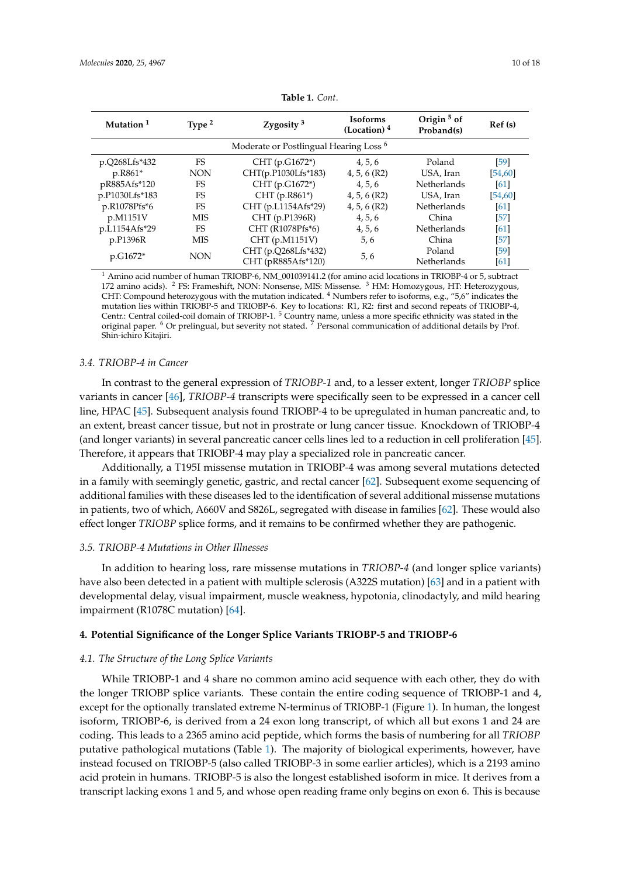<span id="page-9-0"></span>

| Mutation <sup>1</sup>                             | Type $2$   | Zygosity $3$        | <b>Isoforms</b><br>(Location) $4$ | Origin $5$ of<br>Proband(s) | Ref(s)   |  |  |  |
|---------------------------------------------------|------------|---------------------|-----------------------------------|-----------------------------|----------|--|--|--|
| Moderate or Postlingual Hearing Loss <sup>6</sup> |            |                     |                                   |                             |          |  |  |  |
| p.Q268Lfs*432                                     | FS         | $CHT (p.G1672*)$    | 4, 5, 6                           | Poland                      | [59]     |  |  |  |
| p.R861*                                           | <b>NON</b> | CHT(p.P1030Lfs*183) | $4, 5, 6$ (R2)                    | USA, Iran                   | [54, 60] |  |  |  |
| pR885Afs*120                                      | FS         | CHT (p.G1672*)      | 4, 5, 6                           | <b>Netherlands</b>          | [61]     |  |  |  |
| p.P1030Lfs*183                                    | FS         | $CHT (p.R861*)$     | $4, 5, 6$ (R2)                    | USA, Iran                   | [54, 60] |  |  |  |
| p.R1078Pfs*6                                      | FS         | CHT (p.L1154Afs*29) | $4, 5, 6$ (R2)                    | <b>Netherlands</b>          | [61]     |  |  |  |
| p.M1151V                                          | <b>MIS</b> | CHT (p.P1396R)      | 4, 5, 6                           | China                       | [57]     |  |  |  |
| p.L1154Afs*29                                     | FS         | CHT (R1078Pfs*6)    | 4, 5, 6                           | <b>Netherlands</b>          | [61]     |  |  |  |
| p.P1396R                                          | <b>MIS</b> | CHT (p.M1151V)      | 5, 6                              | China                       | [57]     |  |  |  |
| p.G1672*                                          | <b>NON</b> | CHT (p.Q268Lfs*432) | 5,6                               | Poland                      | [59]     |  |  |  |
|                                                   |            | CHT (pR885Afs*120)  |                                   | <b>Netherlands</b>          | [61]     |  |  |  |
|                                                   |            |                     |                                   |                             |          |  |  |  |

**Table 1.** *Cont*.

<sup>1</sup> Amino acid number of human TRIOBP-6, NM\_001039141.2 (for amino acid locations in TRIOBP-4 or 5, subtract 172 amino acids). <sup>2</sup> FS: Frameshift, NON: Nonsense, MIS: Missense. <sup>3</sup> HM: Homozygous, HT: Heterozygous, CHT: Compound heterozygous with the mutation indicated. <sup>4</sup> Numbers refer to isoforms, e.g., "5,6" indicates the mutation lies within TRIOBP-5 and TRIOBP-6. Key to locations: R1, R2: first and second repeats of TRIOBP-4, Centr.: Central coiled-coil domain of TRIOBP-1. <sup>5</sup> Country name, unless a more specific ethnicity was stated in the original paper. <sup>6</sup> Or prelingual, but severity not stated. <sup>7</sup> Personal communication of additional details by Prof. Shin-ichiro Kitajiri.

# *3.4. TRIOBP-4 in Cancer*

In contrast to the general expression of *TRIOBP-1* and, to a lesser extent, longer *TRIOBP* splice variants in cancer [\[46\]](#page-16-3), *TRIOBP-4* transcripts were specifically seen to be expressed in a cancer cell line, HPAC [\[45\]](#page-16-2). Subsequent analysis found TRIOBP-4 to be upregulated in human pancreatic and, to an extent, breast cancer tissue, but not in prostrate or lung cancer tissue. Knockdown of TRIOBP-4 (and longer variants) in several pancreatic cancer cells lines led to a reduction in cell proliferation [\[45\]](#page-16-2). Therefore, it appears that TRIOBP-4 may play a specialized role in pancreatic cancer.

Additionally, a T195I missense mutation in TRIOBP-4 was among several mutations detected in a family with seemingly genetic, gastric, and rectal cancer [\[62\]](#page-17-0). Subsequent exome sequencing of additional families with these diseases led to the identification of several additional missense mutations in patients, two of which, A660V and S826L, segregated with disease in families [\[62\]](#page-17-0). These would also effect longer *TRIOBP* splice forms, and it remains to be confirmed whether they are pathogenic.

# *3.5. TRIOBP-4 Mutations in Other Illnesses*

In addition to hearing loss, rare missense mutations in *TRIOBP-4* (and longer splice variants) have also been detected in a patient with multiple sclerosis (A322S mutation) [\[63\]](#page-17-1) and in a patient with developmental delay, visual impairment, muscle weakness, hypotonia, clinodactyly, and mild hearing impairment (R1078C mutation) [\[64\]](#page-17-2).

# **4. Potential Significance of the Longer Splice Variants TRIOBP-5 and TRIOBP-6**

# *4.1. The Structure of the Long Splice Variants*

While TRIOBP-1 and 4 share no common amino acid sequence with each other, they do with the longer TRIOBP splice variants. These contain the entire coding sequence of TRIOBP-1 and 4, except for the optionally translated extreme N-terminus of TRIOBP-1 (Figure [1\)](#page-1-0). In human, the longest isoform, TRIOBP-6, is derived from a 24 exon long transcript, of which all but exons 1 and 24 are coding. This leads to a 2365 amino acid peptide, which forms the basis of numbering for all *TRIOBP* putative pathological mutations (Table [1\)](#page-9-0). The majority of biological experiments, however, have instead focused on TRIOBP-5 (also called TRIOBP-3 in some earlier articles), which is a 2193 amino acid protein in humans. TRIOBP-5 is also the longest established isoform in mice. It derives from a transcript lacking exons 1 and 5, and whose open reading frame only begins on exon 6. This is because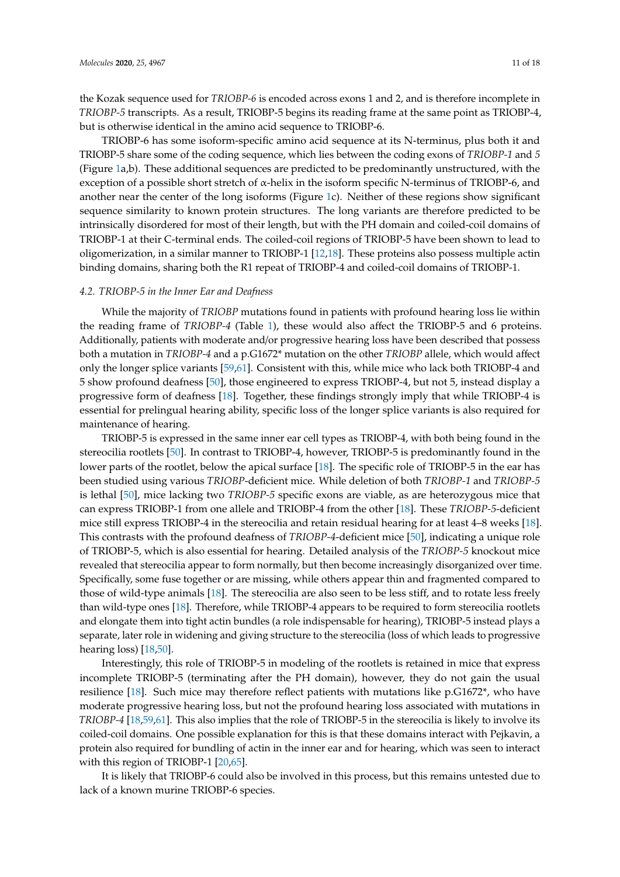the Kozak sequence used for *TRIOBP-6* is encoded across exons 1 and 2, and is therefore incomplete in *TRIOBP-5* transcripts. As a result, TRIOBP-5 begins its reading frame at the same point as TRIOBP-4, but is otherwise identical in the amino acid sequence to TRIOBP-6.

TRIOBP-6 has some isoform-specific amino acid sequence at its N-terminus, plus both it and TRIOBP-5 share some of the coding sequence, which lies between the coding exons of *TRIOBP-1* and *5* (Figure [1a](#page-1-0),b). These additional sequences are predicted to be predominantly unstructured, with the exception of a possible short stretch of  $\alpha$ -helix in the isoform specific N-terminus of TRIOBP-6, and another near the center of the long isoforms (Figure [1c](#page-1-0)). Neither of these regions show significant sequence similarity to known protein structures. The long variants are therefore predicted to be intrinsically disordered for most of their length, but with the PH domain and coiled-coil domains of TRIOBP-1 at their C-terminal ends. The coiled-coil regions of TRIOBP-5 have been shown to lead to oligomerization, in a similar manner to TRIOBP-1 [\[12](#page-14-6)[,18\]](#page-14-13). These proteins also possess multiple actin binding domains, sharing both the R1 repeat of TRIOBP-4 and coiled-coil domains of TRIOBP-1.

#### *4.2. TRIOBP-5 in the Inner Ear and Deafness*

While the majority of *TRIOBP* mutations found in patients with profound hearing loss lie within the reading frame of *TRIOBP-4* (Table [1\)](#page-9-0), these would also affect the TRIOBP-5 and 6 proteins. Additionally, patients with moderate and/or progressive hearing loss have been described that possess both a mutation in *TRIOBP-4* and a p.G1672\* mutation on the other *TRIOBP* allele, which would affect only the longer splice variants [\[59](#page-16-16)[,61\]](#page-16-18). Consistent with this, while mice who lack both TRIOBP-4 and 5 show profound deafness [\[50\]](#page-16-7), those engineered to express TRIOBP-4, but not 5, instead display a progressive form of deafness [\[18\]](#page-14-13). Together, these findings strongly imply that while TRIOBP-4 is essential for prelingual hearing ability, specific loss of the longer splice variants is also required for maintenance of hearing.

TRIOBP-5 is expressed in the same inner ear cell types as TRIOBP-4, with both being found in the stereocilia rootlets [\[50\]](#page-16-7). In contrast to TRIOBP-4, however, TRIOBP-5 is predominantly found in the lower parts of the rootlet, below the apical surface [\[18\]](#page-14-13). The specific role of TRIOBP-5 in the ear has been studied using various *TRIOBP*-deficient mice. While deletion of both *TRIOBP-1* and *TRIOBP-5* is lethal [\[50\]](#page-16-7), mice lacking two *TRIOBP-5* specific exons are viable, as are heterozygous mice that can express TRIOBP-1 from one allele and TRIOBP-4 from the other [\[18\]](#page-14-13). These *TRIOBP-5*-deficient mice still express TRIOBP-4 in the stereocilia and retain residual hearing for at least 4–8 weeks [\[18\]](#page-14-13). This contrasts with the profound deafness of *TRIOBP-4*-deficient mice [\[50\]](#page-16-7), indicating a unique role of TRIOBP-5, which is also essential for hearing. Detailed analysis of the *TRIOBP-5* knockout mice revealed that stereocilia appear to form normally, but then become increasingly disorganized over time. Specifically, some fuse together or are missing, while others appear thin and fragmented compared to those of wild-type animals [\[18\]](#page-14-13). The stereocilia are also seen to be less stiff, and to rotate less freely than wild-type ones [\[18\]](#page-14-13). Therefore, while TRIOBP-4 appears to be required to form stereocilia rootlets and elongate them into tight actin bundles (a role indispensable for hearing), TRIOBP-5 instead plays a separate, later role in widening and giving structure to the stereocilia (loss of which leads to progressive hearing loss) [\[18,](#page-14-13)[50\]](#page-16-7).

Interestingly, this role of TRIOBP-5 in modeling of the rootlets is retained in mice that express incomplete TRIOBP-5 (terminating after the PH domain), however, they do not gain the usual resilience [\[18\]](#page-14-13). Such mice may therefore reflect patients with mutations like p.G1672\*, who have moderate progressive hearing loss, but not the profound hearing loss associated with mutations in *TRIOBP-4* [\[18](#page-14-13)[,59](#page-16-16)[,61\]](#page-16-18). This also implies that the role of TRIOBP-5 in the stereocilia is likely to involve its coiled-coil domains. One possible explanation for this is that these domains interact with Pejkavin, a protein also required for bundling of actin in the inner ear and for hearing, which was seen to interact with this region of TRIOBP-1 [\[20,](#page-14-15)[65\]](#page-17-3).

It is likely that TRIOBP-6 could also be involved in this process, but this remains untested due to lack of a known murine TRIOBP-6 species.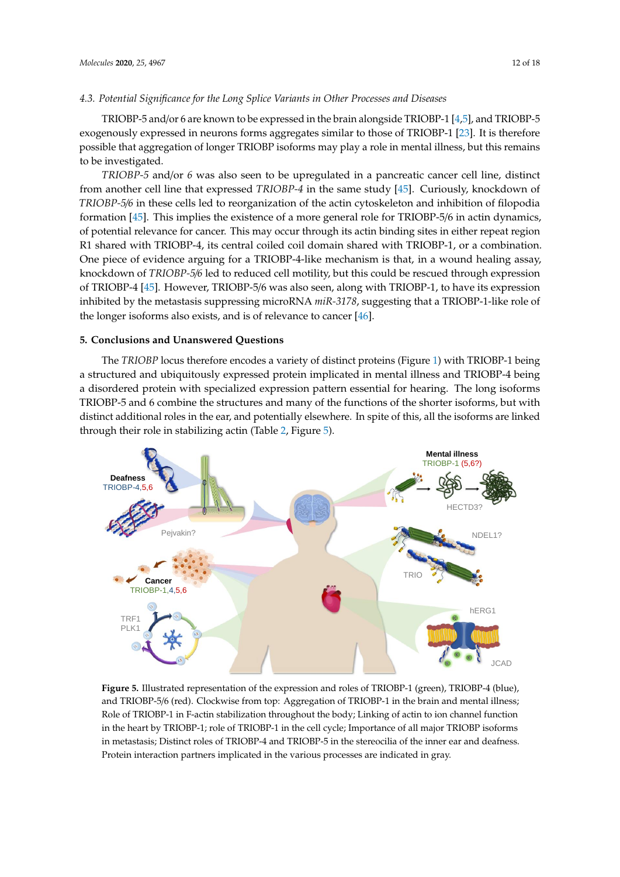# *4.3. Potential Significance for the Long Splice Variants in Other Processes and Diseases*

TRIOBP-5 and/or 6 are known to be expressed in the brain alongside TRIOBP-1 [\[4](#page-13-3)[,5\]](#page-14-0), and TRIOBP-5 exogenously expressed in neurons forms aggregates similar to those of TRIOBP-1 [\[23\]](#page-14-17). It is therefore possible that aggregation of longer TRIOBP isoforms may play a role in mental illness, but this remains to be investigated.

*TRIOBP-5* and/or *6* was also seen to be upregulated in a pancreatic cancer cell line, distinct from another cell line that expressed *TRIOBP-4* in the same study [\[45\]](#page-16-2). Curiously, knockdown of *TRIOBP-5*/*6* in these cells led to reorganization of the actin cytoskeleton and inhibition of filopodia formation [\[45\]](#page-16-2). This implies the existence of a more general role for TRIOBP-5/6 in actin dynamics, of potential relevance for cancer. This may occur through its actin binding sites in either repeat region R1 shared with TRIOBP-4, its central coiled coil domain shared with TRIOBP-1, or a combination. One piece of evidence arguing for a TRIOBP-4-like mechanism is that, in a wound healing assay, knockdown of *TRIOBP-5*/*6* led to reduced cell motility, but this could be rescued through expression of TRIOBP-4 [\[45\]](#page-16-2). However, TRIOBP-5/6 was also seen, along with TRIOBP-1, to have its expression inhibited by the metastasis suppressing microRNA *miR-3178*, suggesting that a TRIOBP-1-like role of the longer isoforms also exists, and is of relevance to cancer [\[46\]](#page-16-3).

# **5. Conclusions and Unanswered Questions**

The *TRIOBP* locus therefore encodes a variety of distinct proteins (Figure [1\)](#page-1-0) with TRIOBP-1 being a structured and ubiquitously expressed protein implicated in mental illness and TRIOBP-4 being a disordered protein with specialized expression pattern essential for hearing. The long isoforms TRIOBP-5 and 6 combine the structures and many of the functions of the shorter isoforms, but with distinct additional roles in the ear, and potentially elsewhere. In spite of this, all the isoforms are linked through their role in stabilizing actin (Table [2,](#page-12-0) Figure [5\)](#page-11-0).

<span id="page-11-0"></span>

**Figure 5.** Illustrated representation of the expression and roles of TRIOBP-1 (green), TRIOBP-4 (blue), and TRIOBP-5/6 (red). Clockwise from top: Aggregation of TRIOBP-1 in the brain and mental illness; Role of TRIOBP-1 in F-actin stabilization throughout the body; Linking of actin to ion channel function in the heart by TRIOBP-1; role of TRIOBP-1 in the cell cycle; Importance of all major TRIOBP isoforms in metastasis; Distinct roles of TRIOBP-4 and TRIOBP-5 in the stereocilia of the inner ear and deafness. Protein interaction partners implicated in the various processes are indicated in gray.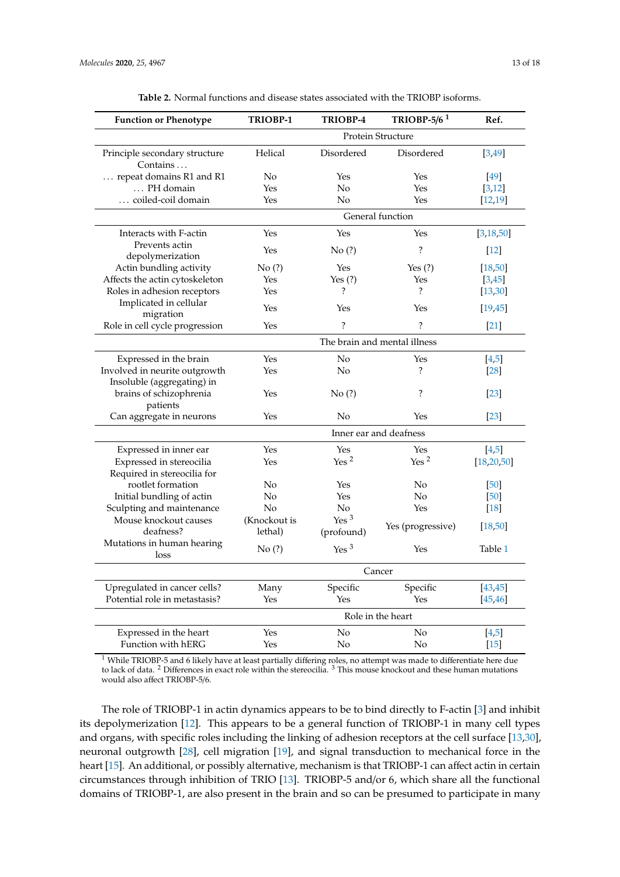<span id="page-12-0"></span>

| <b>Function or Phenotype</b>              | TRIOBP-1                     | TRIOBP-4                 | TRIOBP-5/6 $1$           | Ref.         |  |
|-------------------------------------------|------------------------------|--------------------------|--------------------------|--------------|--|
|                                           | Protein Structure            |                          |                          |              |  |
| Principle secondary structure<br>Contains | Helical                      | Disordered               | Disordered               | [3, 49]      |  |
| repeat domains R1 and R1                  | No                           | Yes                      | Yes                      | [49]         |  |
| PH domain                                 | Yes                          | No                       | Yes                      | [3, 12]      |  |
| coiled-coil domain                        | Yes                          | No                       | Yes                      | [12, 19]     |  |
|                                           | General function             |                          |                          |              |  |
| Interacts with F-actin                    | Yes                          | Yes                      | Yes                      | [3, 18, 50]  |  |
| Prevents actin<br>depolymerization        | Yes                          | No(?)                    | $\overline{\mathcal{C}}$ | $[12]$       |  |
| Actin bundling activity                   | No(?)                        | Yes                      | Yes(?)                   | [18, 50]     |  |
| Affects the actin cytoskeleton            | Yes                          | Yes $(?)$                | Yes                      | [3, 45]      |  |
| Roles in adhesion receptors               | Yes                          | $\overline{\mathcal{C}}$ | $\overline{\mathcal{C}}$ | [13, 30]     |  |
| Implicated in cellular<br>migration       | Yes                          | Yes                      | Yes                      | [19, 45]     |  |
| Role in cell cycle progression            | Yes                          | $\overline{\mathcal{C}}$ | ?                        | $[21]$       |  |
|                                           | The brain and mental illness |                          |                          |              |  |
| Expressed in the brain                    | Yes                          | No                       | Yes                      | [4,5]        |  |
| Involved in neurite outgrowth             | Yes                          | No                       | ?                        | $[28]$       |  |
| Insoluble (aggregating) in                |                              |                          |                          |              |  |
| brains of schizophrenia                   | Yes                          | No(?)                    | ?                        | [23]         |  |
| patients                                  |                              |                          |                          |              |  |
| Can aggregate in neurons                  | Yes                          | No                       | Yes                      | [23]         |  |
|                                           | Inner ear and deafness       |                          |                          |              |  |
| Expressed in inner ear                    | Yes                          | Yes                      | Yes                      | [4,5]        |  |
| Expressed in stereocilia                  | Yes                          | Yes <sup>2</sup>         | Yes <sup>2</sup>         | [18, 20, 50] |  |
| Required in stereocilia for               |                              |                          |                          |              |  |
| rootlet formation                         | No                           | Yes                      | No                       | [50]         |  |
| Initial bundling of actin                 | No                           | Yes                      | No                       | [50]         |  |
| Sculpting and maintenance                 | N <sub>0</sub>               | No                       | Yes                      | $[18]$       |  |
| Mouse knockout causes                     | (Knockout is                 | Yes <sup>3</sup>         |                          |              |  |
| deafness?                                 | lethal)                      | (profound)               | Yes (progressive)        | [18, 50]     |  |
| Mutations in human hearing<br>loss        | No(?)                        | Yes <sup>3</sup>         | Yes                      | Table 1      |  |
|                                           | Cancer                       |                          |                          |              |  |
| Upregulated in cancer cells?              | Many                         | Specific                 | Specific                 | [43, 45]     |  |
| Potential role in metastasis?             | Yes                          | Yes                      | Yes                      | [45, 46]     |  |
|                                           | Role in the heart            |                          |                          |              |  |
| Expressed in the heart                    | No<br>Yes<br>No<br>[4,5]     |                          |                          |              |  |
| Function with hERG                        | Yes                          | No                       | No                       | $[15]$       |  |

**Table 2.** Normal functions and disease states associated with the TRIOBP isoforms.

<sup>1</sup> While TRIOBP-5 and 6 likely have at least partially differing roles, no attempt was made to differentiate here due to lack of data. <sup>2</sup> Differences in exact role within the stereocilia. <sup>3</sup> This mouse knockout and these human mutations would also affect TRIOBP-5/6.

The role of TRIOBP-1 in actin dynamics appears to be to bind directly to F-actin [\[3\]](#page-13-2) and inhibit its depolymerization [\[12\]](#page-14-6). This appears to be a general function of TRIOBP-1 in many cell types and organs, with specific roles including the linking of adhesion receptors at the cell surface [\[13,](#page-14-7)[30\]](#page-15-4), neuronal outgrowth [\[28\]](#page-15-2), cell migration [\[19\]](#page-14-14), and signal transduction to mechanical force in the heart [\[15\]](#page-14-9). An additional, or possibly alternative, mechanism is that TRIOBP-1 can affect actin in certain circumstances through inhibition of TRIO [\[13\]](#page-14-7). TRIOBP-5 and/or 6, which share all the functional domains of TRIOBP-1, are also present in the brain and so can be presumed to participate in many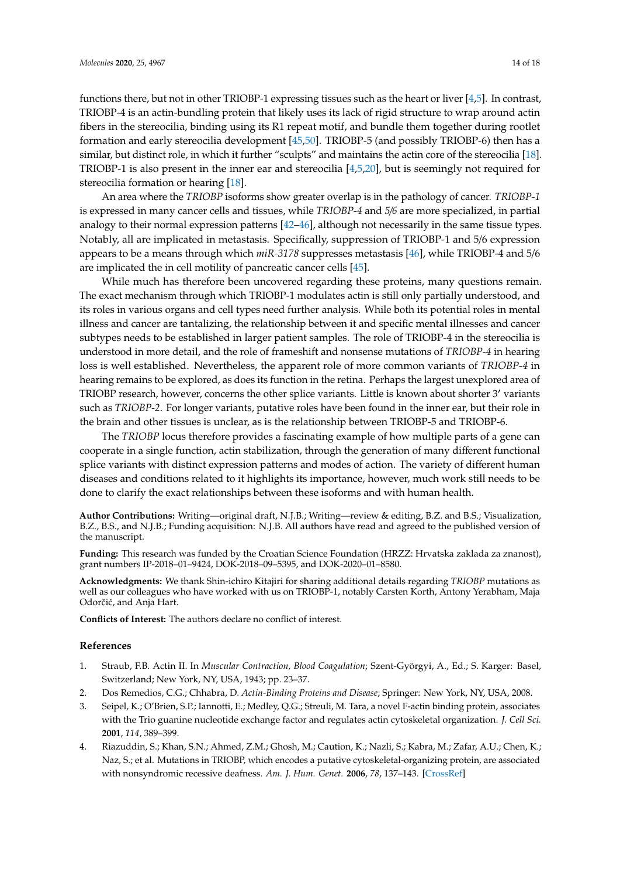functions there, but not in other TRIOBP-1 expressing tissues such as the heart or liver [\[4,](#page-13-3)[5\]](#page-14-0). In contrast, TRIOBP-4 is an actin-bundling protein that likely uses its lack of rigid structure to wrap around actin fibers in the stereocilia, binding using its R1 repeat motif, and bundle them together during rootlet formation and early stereocilia development [\[45](#page-16-2)[,50\]](#page-16-7). TRIOBP-5 (and possibly TRIOBP-6) then has a similar, but distinct role, in which it further "sculpts" and maintains the actin core of the stereocilia [\[18\]](#page-14-13). TRIOBP-1 is also present in the inner ear and stereocilia [\[4,](#page-13-3)[5,](#page-14-0)[20\]](#page-14-15), but is seemingly not required for stereocilia formation or hearing [\[18\]](#page-14-13).

An area where the *TRIOBP* isoforms show greater overlap is in the pathology of cancer. *TRIOBP-1* is expressed in many cancer cells and tissues, while *TRIOBP-4* and *5*/*6* are more specialized, in partial analogy to their normal expression patterns [\[42](#page-15-16)[–46\]](#page-16-3), although not necessarily in the same tissue types. Notably, all are implicated in metastasis. Specifically, suppression of TRIOBP-1 and 5/6 expression appears to be a means through which *miR-3178* suppresses metastasis [\[46\]](#page-16-3), while TRIOBP-4 and 5/6 are implicated the in cell motility of pancreatic cancer cells [\[45\]](#page-16-2).

While much has therefore been uncovered regarding these proteins, many questions remain. The exact mechanism through which TRIOBP-1 modulates actin is still only partially understood, and its roles in various organs and cell types need further analysis. While both its potential roles in mental illness and cancer are tantalizing, the relationship between it and specific mental illnesses and cancer subtypes needs to be established in larger patient samples. The role of TRIOBP-4 in the stereocilia is understood in more detail, and the role of frameshift and nonsense mutations of *TRIOBP-4* in hearing loss is well established. Nevertheless, the apparent role of more common variants of *TRIOBP-4* in hearing remains to be explored, as does its function in the retina. Perhaps the largest unexplored area of TRIOBP research, however, concerns the other splice variants. Little is known about shorter 3' variants such as *TRIOBP-2*. For longer variants, putative roles have been found in the inner ear, but their role in the brain and other tissues is unclear, as is the relationship between TRIOBP-5 and TRIOBP-6.

The *TRIOBP* locus therefore provides a fascinating example of how multiple parts of a gene can cooperate in a single function, actin stabilization, through the generation of many different functional splice variants with distinct expression patterns and modes of action. The variety of different human diseases and conditions related to it highlights its importance, however, much work still needs to be done to clarify the exact relationships between these isoforms and with human health.

**Author Contributions:** Writing—original draft, N.J.B.; Writing—review & editing, B.Z. and B.S.; Visualization, B.Z., B.S., and N.J.B.; Funding acquisition: N.J.B. All authors have read and agreed to the published version of the manuscript.

**Funding:** This research was funded by the Croatian Science Foundation (HRZZ: Hrvatska zaklada za znanost), grant numbers IP-2018–01–9424, DOK-2018–09–5395, and DOK-2020–01–8580.

**Acknowledgments:** We thank Shin-ichiro Kitajiri for sharing additional details regarding *TRIOBP* mutations as well as our colleagues who have worked with us on TRIOBP-1, notably Carsten Korth, Antony Yerabham, Maja Odorčić, and Anja Hart.

**Conflicts of Interest:** The authors declare no conflict of interest.

# **References**

- <span id="page-13-0"></span>1. Straub, F.B. Actin II. In *Muscular Contraction, Blood Coagulation*; Szent-Györgyi, A., Ed.; S. Karger: Basel, Switzerland; New York, NY, USA, 1943; pp. 23–37.
- <span id="page-13-1"></span>2. Dos Remedios, C.G.; Chhabra, D. *Actin-Binding Proteins and Disease*; Springer: New York, NY, USA, 2008.
- <span id="page-13-2"></span>3. Seipel, K.; O'Brien, S.P.; Iannotti, E.; Medley, Q.G.; Streuli, M. Tara, a novel F-actin binding protein, associates with the Trio guanine nucleotide exchange factor and regulates actin cytoskeletal organization. *J. Cell Sci.* **2001**, *114*, 389–399.
- <span id="page-13-3"></span>4. Riazuddin, S.; Khan, S.N.; Ahmed, Z.M.; Ghosh, M.; Caution, K.; Nazli, S.; Kabra, M.; Zafar, A.U.; Chen, K.; Naz, S.; et al. Mutations in TRIOBP, which encodes a putative cytoskeletal-organizing protein, are associated with nonsyndromic recessive deafness. *Am. J. Hum. Genet.* **2006**, *78*, 137–143. [\[CrossRef\]](http://dx.doi.org/10.1086/499164)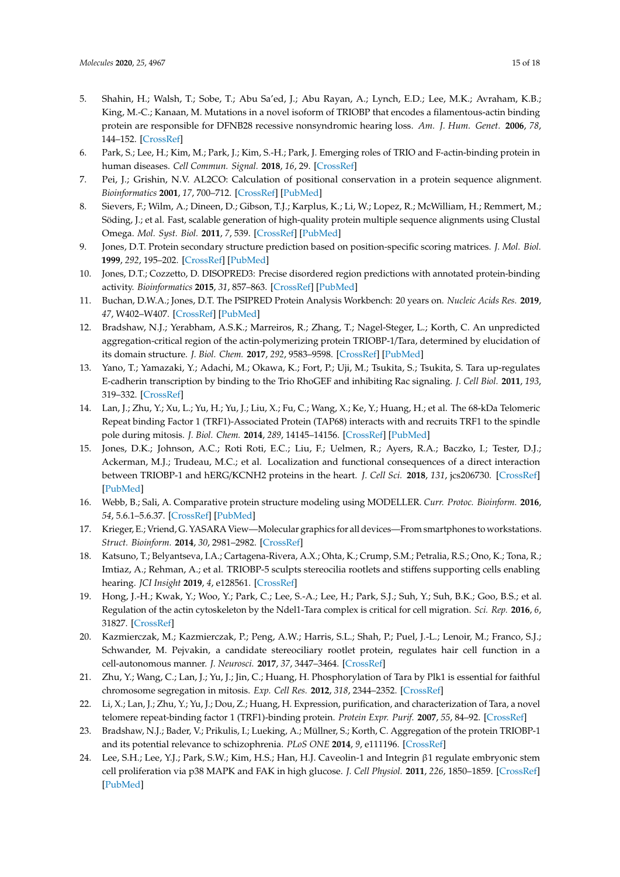- <span id="page-14-0"></span>5. Shahin, H.; Walsh, T.; Sobe, T.; Abu Sa'ed, J.; Abu Rayan, A.; Lynch, E.D.; Lee, M.K.; Avraham, K.B.; King, M.-C.; Kanaan, M. Mutations in a novel isoform of TRIOBP that encodes a filamentous-actin binding protein are responsible for DFNB28 recessive nonsyndromic hearing loss. *Am. J. Hum. Genet.* **2006**, *78*, 144–152. [\[CrossRef\]](http://dx.doi.org/10.1086/499495)
- <span id="page-14-1"></span>6. Park, S.; Lee, H.; Kim, M.; Park, J.; Kim, S.-H.; Park, J. Emerging roles of TRIO and F-actin-binding protein in human diseases. *Cell Commun. Signal.* **2018**, *16*, 29. [\[CrossRef\]](http://dx.doi.org/10.1186/s12964-018-0237-y)
- <span id="page-14-2"></span>7. Pei, J.; Grishin, N.V. AL2CO: Calculation of positional conservation in a protein sequence alignment. *Bioinformatics* **2001**, *17*, 700–712. [\[CrossRef\]](http://dx.doi.org/10.1093/bioinformatics/17.8.700) [\[PubMed\]](http://www.ncbi.nlm.nih.gov/pubmed/11524371)
- <span id="page-14-3"></span>8. Sievers, F.; Wilm, A.; Dineen, D.; Gibson, T.J.; Karplus, K.; Li, W.; Lopez, R.; McWilliam, H.; Remmert, M.; Söding, J.; et al. Fast, scalable generation of high-quality protein multiple sequence alignments using Clustal Omega. *Mol. Syst. Biol.* **2011**, *7*, 539. [\[CrossRef\]](http://dx.doi.org/10.1038/msb.2011.75) [\[PubMed\]](http://www.ncbi.nlm.nih.gov/pubmed/21988835)
- <span id="page-14-4"></span>9. Jones, D.T. Protein secondary structure prediction based on position-specific scoring matrices. *J. Mol. Biol.* **1999**, *292*, 195–202. [\[CrossRef\]](http://dx.doi.org/10.1006/jmbi.1999.3091) [\[PubMed\]](http://www.ncbi.nlm.nih.gov/pubmed/10493868)
- 10. Jones, D.T.; Cozzetto, D. DISOPRED3: Precise disordered region predictions with annotated protein-binding activity. *Bioinformatics* **2015**, *31*, 857–863. [\[CrossRef\]](http://dx.doi.org/10.1093/bioinformatics/btu744) [\[PubMed\]](http://www.ncbi.nlm.nih.gov/pubmed/25391399)
- <span id="page-14-5"></span>11. Buchan, D.W.A.; Jones, D.T. The PSIPRED Protein Analysis Workbench: 20 years on. *Nucleic Acids Res.* **2019**, *47*, W402–W407. [\[CrossRef\]](http://dx.doi.org/10.1093/nar/gkz297) [\[PubMed\]](http://www.ncbi.nlm.nih.gov/pubmed/31251384)
- <span id="page-14-6"></span>12. Bradshaw, N.J.; Yerabham, A.S.K.; Marreiros, R.; Zhang, T.; Nagel-Steger, L.; Korth, C. An unpredicted aggregation-critical region of the actin-polymerizing protein TRIOBP-1/Tara, determined by elucidation of its domain structure. *J. Biol. Chem.* **2017**, *292*, 9583–9598. [\[CrossRef\]](http://dx.doi.org/10.1074/jbc.M116.767939) [\[PubMed\]](http://www.ncbi.nlm.nih.gov/pubmed/28438837)
- <span id="page-14-7"></span>13. Yano, T.; Yamazaki, Y.; Adachi, M.; Okawa, K.; Fort, P.; Uji, M.; Tsukita, S.; Tsukita, S. Tara up-regulates E-cadherin transcription by binding to the Trio RhoGEF and inhibiting Rac signaling. *J. Cell Biol.* **2011**, *193*, 319–332. [\[CrossRef\]](http://dx.doi.org/10.1083/jcb.201009100)
- <span id="page-14-8"></span>14. Lan, J.; Zhu, Y.; Xu, L.; Yu, H.; Yu, J.; Liu, X.; Fu, C.; Wang, X.; Ke, Y.; Huang, H.; et al. The 68-kDa Telomeric Repeat binding Factor 1 (TRF1)-Associated Protein (TAP68) interacts with and recruits TRF1 to the spindle pole during mitosis. *J. Biol. Chem.* **2014**, *289*, 14145–14156. [\[CrossRef\]](http://dx.doi.org/10.1074/jbc.M113.526244) [\[PubMed\]](http://www.ncbi.nlm.nih.gov/pubmed/24692559)
- <span id="page-14-9"></span>15. Jones, D.K.; Johnson, A.C.; Roti Roti, E.C.; Liu, F.; Uelmen, R.; Ayers, R.A.; Baczko, I.; Tester, D.J.; Ackerman, M.J.; Trudeau, M.C.; et al. Localization and functional consequences of a direct interaction between TRIOBP-1 and hERG/KCNH2 proteins in the heart. *J. Cell Sci.* **2018**, *131*, jcs206730. [\[CrossRef\]](http://dx.doi.org/10.1242/jcs.206730) [\[PubMed\]](http://www.ncbi.nlm.nih.gov/pubmed/29507111)
- <span id="page-14-10"></span>16. Webb, B.; Sali, A. Comparative protein structure modeling using MODELLER. *Curr. Protoc. Bioinform.* **2016**, *54*, 5.6.1–5.6.37. [\[CrossRef\]](http://dx.doi.org/10.1002/cpbi.3) [\[PubMed\]](http://www.ncbi.nlm.nih.gov/pubmed/27322406)
- <span id="page-14-11"></span>17. Krieger, E.; Vriend, G. YASARA View—Molecular graphics for all devices—From smartphones to workstations. *Struct. Bioinform.* **2014**, *30*, 2981–2982. [\[CrossRef\]](http://dx.doi.org/10.1093/bioinformatics/btu426)
- <span id="page-14-13"></span>18. Katsuno, T.; Belyantseva, I.A.; Cartagena-Rivera, A.X.; Ohta, K.; Crump, S.M.; Petralia, R.S.; Ono, K.; Tona, R.; Imtiaz, A.; Rehman, A.; et al. TRIOBP-5 sculpts stereocilia rootlets and stiffens supporting cells enabling hearing. *JCI Insight* **2019**, *4*, e128561. [\[CrossRef\]](http://dx.doi.org/10.1172/jci.insight.128561)
- <span id="page-14-14"></span>19. Hong, J.-H.; Kwak, Y.; Woo, Y.; Park, C.; Lee, S.-A.; Lee, H.; Park, S.J.; Suh, Y.; Suh, B.K.; Goo, B.S.; et al. Regulation of the actin cytoskeleton by the Ndel1-Tara complex is critical for cell migration. *Sci. Rep.* **2016**, *6*, 31827. [\[CrossRef\]](http://dx.doi.org/10.1038/srep31827)
- <span id="page-14-15"></span>20. Kazmierczak, M.; Kazmierczak, P.; Peng, A.W.; Harris, S.L.; Shah, P.; Puel, J.-L.; Lenoir, M.; Franco, S.J.; Schwander, M. Pejvakin, a candidate stereociliary rootlet protein, regulates hair cell function in a cell-autonomous manner. *J. Neurosci.* **2017**, *37*, 3447–3464. [\[CrossRef\]](http://dx.doi.org/10.1523/JNEUROSCI.2711-16.2017)
- <span id="page-14-16"></span>21. Zhu, Y.; Wang, C.; Lan, J.; Yu, J.; Jin, C.; Huang, H. Phosphorylation of Tara by Plk1 is essential for faithful chromosome segregation in mitosis. *Exp. Cell Res.* **2012**, *318*, 2344–2352. [\[CrossRef\]](http://dx.doi.org/10.1016/j.yexcr.2012.07.001)
- <span id="page-14-12"></span>22. Li, X.; Lan, J.; Zhu, Y.; Yu, J.; Dou, Z.; Huang, H. Expression, purification, and characterization of Tara, a novel telomere repeat-binding factor 1 (TRF1)-binding protein. *Protein Expr. Purif.* **2007**, *55*, 84–92. [\[CrossRef\]](http://dx.doi.org/10.1016/j.pep.2007.05.004)
- <span id="page-14-17"></span>23. Bradshaw, N.J.; Bader, V.; Prikulis, I.; Lueking, A.; Müllner, S.; Korth, C. Aggregation of the protein TRIOBP-1 and its potential relevance to schizophrenia. *PLoS ONE* **2014**, *9*, e111196. [\[CrossRef\]](http://dx.doi.org/10.1371/journal.pone.0111196)
- <span id="page-14-18"></span>24. Lee, S.H.; Lee, Y.J.; Park, S.W.; Kim, H.S.; Han, H.J. Caveolin-1 and Integrin β1 regulate embryonic stem cell proliferation via p38 MAPK and FAK in high glucose. *J. Cell Physiol.* **2011**, *226*, 1850–1859. [\[CrossRef\]](http://dx.doi.org/10.1002/jcp.22510) [\[PubMed\]](http://www.ncbi.nlm.nih.gov/pubmed/21506116)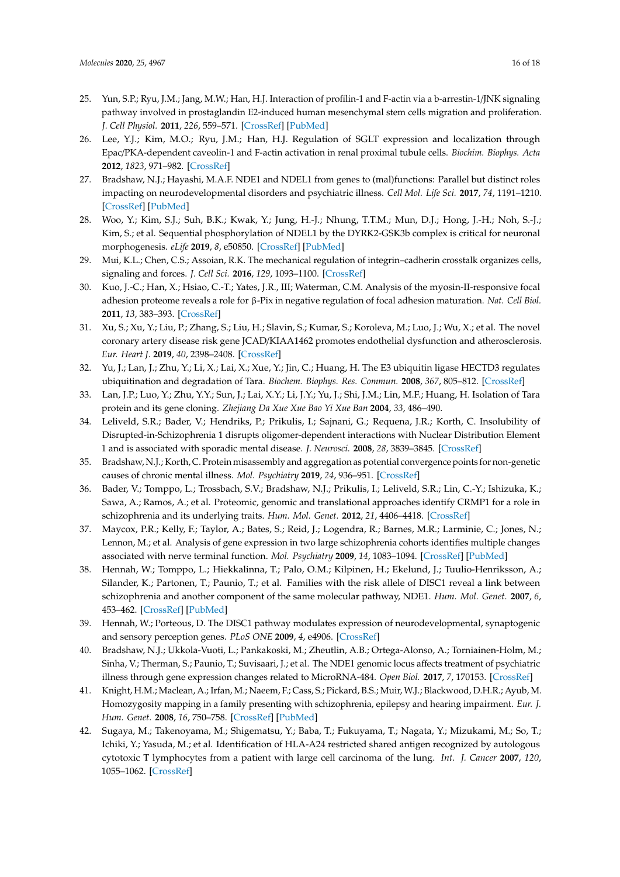- 25. Yun, S.P.; Ryu, J.M.; Jang, M.W.; Han, H.J. Interaction of profilin-1 and F-actin via a b-arrestin-1/JNK signaling pathway involved in prostaglandin E2-induced human mesenchymal stem cells migration and proliferation. *J. Cell Physiol.* **2011**, *226*, 559–571. [\[CrossRef\]](http://dx.doi.org/10.1002/jcp.22366) [\[PubMed\]](http://www.ncbi.nlm.nih.gov/pubmed/20717968)
- <span id="page-15-0"></span>26. Lee, Y.J.; Kim, M.O.; Ryu, J.M.; Han, H.J. Regulation of SGLT expression and localization through Epac/PKA-dependent caveolin-1 and F-actin activation in renal proximal tubule cells. *Biochim. Biophys. Acta* **2012**, *1823*, 971–982. [\[CrossRef\]](http://dx.doi.org/10.1016/j.bbamcr.2011.12.011)
- <span id="page-15-1"></span>27. Bradshaw, N.J.; Hayashi, M.A.F. NDE1 and NDEL1 from genes to (mal)functions: Parallel but distinct roles impacting on neurodevelopmental disorders and psychiatric illness. *Cell Mol. Life Sci.* **2017**, *74*, 1191–1210. [\[CrossRef\]](http://dx.doi.org/10.1007/s00018-016-2395-7) [\[PubMed\]](http://www.ncbi.nlm.nih.gov/pubmed/27742926)
- <span id="page-15-2"></span>28. Woo, Y.; Kim, S.J.; Suh, B.K.; Kwak, Y.; Jung, H.-J.; Nhung, T.T.M.; Mun, D.J.; Hong, J.-H.; Noh, S.-J.; Kim, S.; et al. Sequential phosphorylation of NDEL1 by the DYRK2-GSK3b complex is critical for neuronal morphogenesis. *eLife* **2019**, *8*, e50850. [\[CrossRef\]](http://dx.doi.org/10.7554/eLife.50850) [\[PubMed\]](http://www.ncbi.nlm.nih.gov/pubmed/31815665)
- <span id="page-15-3"></span>29. Mui, K.L.; Chen, C.S.; Assoian, R.K. The mechanical regulation of integrin–cadherin crosstalk organizes cells, signaling and forces. *J. Cell Sci.* **2016**, *129*, 1093–1100. [\[CrossRef\]](http://dx.doi.org/10.1242/jcs.183699)
- <span id="page-15-4"></span>30. Kuo, J.-C.; Han, X.; Hsiao, C.-T.; Yates, J.R., III; Waterman, C.M. Analysis of the myosin-II-responsive focal adhesion proteome reveals a role for β-Pix in negative regulation of focal adhesion maturation. *Nat. Cell Biol.* **2011**, *13*, 383–393. [\[CrossRef\]](http://dx.doi.org/10.1038/ncb2216)
- <span id="page-15-5"></span>31. Xu, S.; Xu, Y.; Liu, P.; Zhang, S.; Liu, H.; Slavin, S.; Kumar, S.; Koroleva, M.; Luo, J.; Wu, X.; et al. The novel coronary artery disease risk gene JCAD/KIAA1462 promotes endothelial dysfunction and atherosclerosis. *Eur. Heart J.* **2019**, *40*, 2398–2408. [\[CrossRef\]](http://dx.doi.org/10.1093/eurheartj/ehz303)
- <span id="page-15-6"></span>32. Yu, J.; Lan, J.; Zhu, Y.; Li, X.; Lai, X.; Xue, Y.; Jin, C.; Huang, H. The E3 ubiquitin ligase HECTD3 regulates ubiquitination and degradation of Tara. *Biochem. Biophys. Res. Commun.* **2008**, *367*, 805–812. [\[CrossRef\]](http://dx.doi.org/10.1016/j.bbrc.2008.01.022)
- <span id="page-15-7"></span>33. Lan, J.P.; Luo, Y.; Zhu, Y.Y.; Sun, J.; Lai, X.Y.; Li, J.Y.; Yu, J.; Shi, J.M.; Lin, M.F.; Huang, H. Isolation of Tara protein and its gene cloning. *Zhejiang Da Xue Xue Bao Yi Xue Ban* **2004**, *33*, 486–490.
- <span id="page-15-8"></span>34. Leliveld, S.R.; Bader, V.; Hendriks, P.; Prikulis, I.; Sajnani, G.; Requena, J.R.; Korth, C. Insolubility of Disrupted-in-Schizophrenia 1 disrupts oligomer-dependent interactions with Nuclear Distribution Element 1 and is associated with sporadic mental disease. *J. Neurosci.* **2008**, *28*, 3839–3845. [\[CrossRef\]](http://dx.doi.org/10.1523/JNEUROSCI.5389-07.2008)
- <span id="page-15-9"></span>35. Bradshaw, N.J.; Korth, C. Protein misassembly and aggregation as potential convergence points for non-genetic causes of chronic mental illness. *Mol. Psychiatry* **2019**, *24*, 936–951. [\[CrossRef\]](http://dx.doi.org/10.1038/s41380-018-0133-2)
- <span id="page-15-10"></span>36. Bader, V.; Tomppo, L.; Trossbach, S.V.; Bradshaw, N.J.; Prikulis, I.; Leliveld, S.R.; Lin, C.-Y.; Ishizuka, K.; Sawa, A.; Ramos, A.; et al. Proteomic, genomic and translational approaches identify CRMP1 for a role in schizophrenia and its underlying traits. *Hum. Mol. Genet.* **2012**, *21*, 4406–4418. [\[CrossRef\]](http://dx.doi.org/10.1093/hmg/dds273)
- <span id="page-15-11"></span>37. Maycox, P.R.; Kelly, F.; Taylor, A.; Bates, S.; Reid, J.; Logendra, R.; Barnes, M.R.; Larminie, C.; Jones, N.; Lennon, M.; et al. Analysis of gene expression in two large schizophrenia cohorts identifies multiple changes associated with nerve terminal function. *Mol. Psychiatry* **2009**, *14*, 1083–1094. [\[CrossRef\]](http://dx.doi.org/10.1038/mp.2009.18) [\[PubMed\]](http://www.ncbi.nlm.nih.gov/pubmed/19255580)
- <span id="page-15-12"></span>38. Hennah, W.; Tomppo, L.; Hiekkalinna, T.; Palo, O.M.; Kilpinen, H.; Ekelund, J.; Tuulio-Henriksson, A.; Silander, K.; Partonen, T.; Paunio, T.; et al. Families with the risk allele of DISC1 reveal a link between schizophrenia and another component of the same molecular pathway, NDE1. *Hum. Mol. Genet.* **2007**, *6*, 453–462. [\[CrossRef\]](http://dx.doi.org/10.1093/hmg/ddl462) [\[PubMed\]](http://www.ncbi.nlm.nih.gov/pubmed/17185386)
- <span id="page-15-13"></span>39. Hennah, W.; Porteous, D. The DISC1 pathway modulates expression of neurodevelopmental, synaptogenic and sensory perception genes. *PLoS ONE* **2009**, *4*, e4906. [\[CrossRef\]](http://dx.doi.org/10.1371/journal.pone.0004906)
- <span id="page-15-14"></span>40. Bradshaw, N.J.; Ukkola-Vuoti, L.; Pankakoski, M.; Zheutlin, A.B.; Ortega-Alonso, A.; Torniainen-Holm, M.; Sinha, V.; Therman, S.; Paunio, T.; Suvisaari, J.; et al. The NDE1 genomic locus affects treatment of psychiatric illness through gene expression changes related to MicroRNA-484. *Open Biol.* **2017**, *7*, 170153. [\[CrossRef\]](http://dx.doi.org/10.1098/rsob.170153)
- <span id="page-15-15"></span>41. Knight, H.M.; Maclean, A.; Irfan, M.; Naeem, F.; Cass, S.; Pickard, B.S.; Muir, W.J.; Blackwood, D.H.R.; Ayub, M. Homozygosity mapping in a family presenting with schizophrenia, epilepsy and hearing impairment. *Eur. J. Hum. Genet.* **2008**, *16*, 750–758. [\[CrossRef\]](http://dx.doi.org/10.1038/ejhg.2008.11) [\[PubMed\]](http://www.ncbi.nlm.nih.gov/pubmed/18322454)
- <span id="page-15-16"></span>42. Sugaya, M.; Takenoyama, M.; Shigematsu, Y.; Baba, T.; Fukuyama, T.; Nagata, Y.; Mizukami, M.; So, T.; Ichiki, Y.; Yasuda, M.; et al. Identification of HLA-A24 restricted shared antigen recognized by autologous cytotoxic T lymphocytes from a patient with large cell carcinoma of the lung. *Int. J. Cancer* **2007**, *120*, 1055–1062. [\[CrossRef\]](http://dx.doi.org/10.1002/ijc.22396)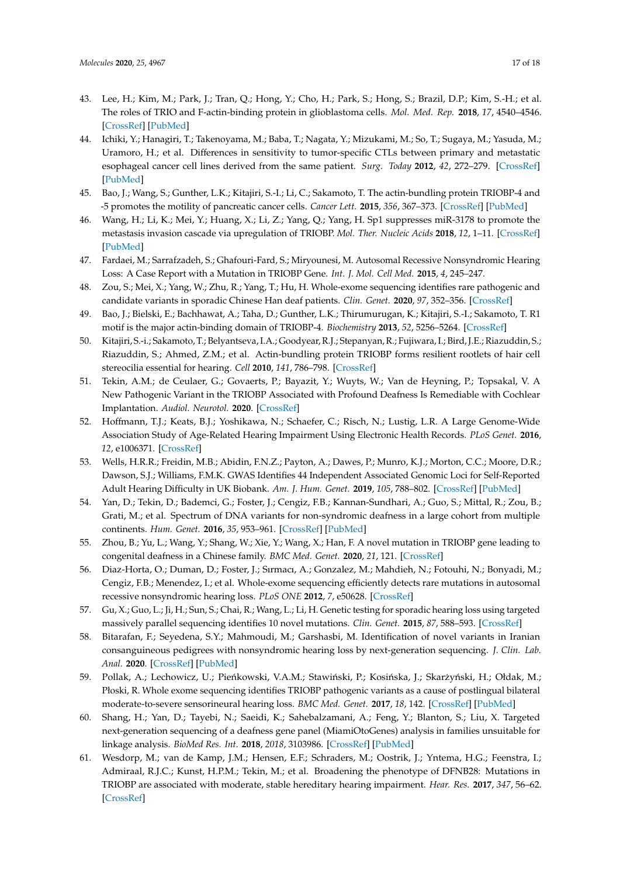- <span id="page-16-0"></span>43. Lee, H.; Kim, M.; Park, J.; Tran, Q.; Hong, Y.; Cho, H.; Park, S.; Hong, S.; Brazil, D.P.; Kim, S.-H.; et al. The roles of TRIO and F-actin-binding protein in glioblastoma cells. *Mol. Med. Rep.* **2018**, *17*, 4540–4546. [\[CrossRef\]](http://dx.doi.org/10.3892/mmr.2018.8458) [\[PubMed\]](http://www.ncbi.nlm.nih.gov/pubmed/29363730)
- <span id="page-16-1"></span>44. Ichiki, Y.; Hanagiri, T.; Takenoyama, M.; Baba, T.; Nagata, Y.; Mizukami, M.; So, T.; Sugaya, M.; Yasuda, M.; Uramoro, H.; et al. Differences in sensitivity to tumor-specific CTLs between primary and metastatic esophageal cancer cell lines derived from the same patient. *Surg. Today* **2012**, *42*, 272–279. [\[CrossRef\]](http://dx.doi.org/10.1007/s00595-011-0083-7) [\[PubMed\]](http://www.ncbi.nlm.nih.gov/pubmed/22234743)
- <span id="page-16-2"></span>45. Bao, J.; Wang, S.; Gunther, L.K.; Kitajiri, S.-I.; Li, C.; Sakamoto, T. The actin-bundling protein TRIOBP-4 and -5 promotes the motility of pancreatic cancer cells. *Cancer Lett.* **2015**, *356*, 367–373. [\[CrossRef\]](http://dx.doi.org/10.1016/j.canlet.2014.08.005) [\[PubMed\]](http://www.ncbi.nlm.nih.gov/pubmed/25130170)
- <span id="page-16-3"></span>46. Wang, H.; Li, K.; Mei, Y.; Huang, X.; Li, Z.; Yang, Q.; Yang, H. Sp1 suppresses miR-3178 to promote the metastasis invasion cascade via upregulation of TRIOBP. *Mol. Ther. Nucleic Acids* **2018**, *12*, 1–11. [\[CrossRef\]](http://dx.doi.org/10.1016/j.omtn.2018.04.008) [\[PubMed\]](http://www.ncbi.nlm.nih.gov/pubmed/30195749)
- <span id="page-16-4"></span>47. Fardaei, M.; Sarrafzadeh, S.; Ghafouri-Fard, S.; Miryounesi, M. Autosomal Recessive Nonsyndromic Hearing Loss: A Case Report with a Mutation in TRIOBP Gene. *Int. J. Mol. Cell Med.* **2015**, *4*, 245–247.
- <span id="page-16-5"></span>48. Zou, S.; Mei, X.; Yang, W.; Zhu, R.; Yang, T.; Hu, H. Whole-exome sequencing identifies rare pathogenic and candidate variants in sporadic Chinese Han deaf patients. *Clin. Genet.* **2020**, *97*, 352–356. [\[CrossRef\]](http://dx.doi.org/10.1111/cge.13638)
- <span id="page-16-6"></span>49. Bao, J.; Bielski, E.; Bachhawat, A.; Taha, D.; Gunther, L.K.; Thirumurugan, K.; Kitajiri, S.-I.; Sakamoto, T. R1 motif is the major actin-binding domain of TRIOBP-4. *Biochemistry* **2013**, *52*, 5256–5264. [\[CrossRef\]](http://dx.doi.org/10.1021/bi400585h)
- <span id="page-16-7"></span>50. Kitajiri, S.-i.; Sakamoto, T.; Belyantseva, I.A.; Goodyear, R.J.; Stepanyan, R.; Fujiwara, I.; Bird, J.E.; Riazuddin, S.; Riazuddin, S.; Ahmed, Z.M.; et al. Actin-bundling protein TRIOBP forms resilient rootlets of hair cell stereocilia essential for hearing. *Cell* **2010**, *141*, 786–798. [\[CrossRef\]](http://dx.doi.org/10.1016/j.cell.2010.03.049)
- <span id="page-16-8"></span>51. Tekin, A.M.; de Ceulaer, G.; Govaerts, P.; Bayazit, Y.; Wuyts, W.; Van de Heyning, P.; Topsakal, V. A New Pathogenic Variant in the TRIOBP Associated with Profound Deafness Is Remediable with Cochlear Implantation. *Audiol. Neurotol.* **2020**. [\[CrossRef\]](http://dx.doi.org/10.1159/000508434)
- <span id="page-16-9"></span>52. Hoffmann, T.J.; Keats, B.J.; Yoshikawa, N.; Schaefer, C.; Risch, N.; Lustig, L.R. A Large Genome-Wide Association Study of Age-Related Hearing Impairment Using Electronic Health Records. *PLoS Genet.* **2016**, *12*, e1006371. [\[CrossRef\]](http://dx.doi.org/10.1371/journal.pgen.1006371)
- <span id="page-16-10"></span>53. Wells, H.R.R.; Freidin, M.B.; Abidin, F.N.Z.; Payton, A.; Dawes, P.; Munro, K.J.; Morton, C.C.; Moore, D.R.; Dawson, S.J.; Williams, F.M.K. GWAS Identifies 44 Independent Associated Genomic Loci for Self-Reported Adult Hearing Difficulty in UK Biobank. *Am. J. Hum. Genet.* **2019**, *105*, 788–802. [\[CrossRef\]](http://dx.doi.org/10.1016/j.ajhg.2019.09.008) [\[PubMed\]](http://www.ncbi.nlm.nih.gov/pubmed/31564434)
- <span id="page-16-11"></span>54. Yan, D.; Tekin, D.; Bademci, G.; Foster, J.; Cengiz, F.B.; Kannan-Sundhari, A.; Guo, S.; Mittal, R.; Zou, B.; Grati, M.; et al. Spectrum of DNA variants for non-syndromic deafness in a large cohort from multiple continents. *Hum. Genet.* **2016**, *35*, 953–961. [\[CrossRef\]](http://dx.doi.org/10.1007/s00439-016-1697-z) [\[PubMed\]](http://www.ncbi.nlm.nih.gov/pubmed/27344577)
- <span id="page-16-12"></span>55. Zhou, B.; Yu, L.; Wang, Y.; Shang, W.; Xie, Y.; Wang, X.; Han, F. A novel mutation in TRIOBP gene leading to congenital deafness in a Chinese family. *BMC Med. Genet.* **2020**, *21*, 121. [\[CrossRef\]](http://dx.doi.org/10.1186/s12881-020-01055-5)
- <span id="page-16-13"></span>56. Diaz-Horta, O.; Duman, D.; Foster, J.; Sırmacı, A.; Gonzalez, M.; Mahdieh, N.; Fotouhi, N.; Bonyadi, M.; Cengiz, F.B.; Menendez, I.; et al. Whole-exome sequencing efficiently detects rare mutations in autosomal recessive nonsyndromic hearing loss. *PLoS ONE* **2012**, *7*, e50628. [\[CrossRef\]](http://dx.doi.org/10.1371/journal.pone.0050628)
- <span id="page-16-14"></span>57. Gu, X.; Guo, L.; Ji, H.; Sun, S.; Chai, R.; Wang, L.; Li, H. Genetic testing for sporadic hearing loss using targeted massively parallel sequencing identifies 10 novel mutations. *Clin. Genet.* **2015**, *87*, 588–593. [\[CrossRef\]](http://dx.doi.org/10.1111/cge.12431)
- <span id="page-16-15"></span>58. Bitarafan, F.; Seyedena, S.Y.; Mahmoudi, M.; Garshasbi, M. Identification of novel variants in Iranian consanguineous pedigrees with nonsyndromic hearing loss by next-generation sequencing. *J. Clin. Lab. Anal.* **2020**. [\[CrossRef\]](http://dx.doi.org/10.1002/jcla.23544) [\[PubMed\]](http://www.ncbi.nlm.nih.gov/pubmed/32864763)
- <span id="page-16-16"></span>59. Pollak, A.; Lechowicz, U.; Pieńkowski, V.A.M.; Stawiński, P.; Kosińska, J.; Skarżyński, H.; Ołdak, M.; Płoski, R. Whole exome sequencing identifies TRIOBP pathogenic variants as a cause of postlingual bilateral moderate-to-severe sensorineural hearing loss. *BMC Med. Genet.* **2017**, *18*, 142. [\[CrossRef\]](http://dx.doi.org/10.1186/s12881-017-0499-z) [\[PubMed\]](http://www.ncbi.nlm.nih.gov/pubmed/29197352)
- <span id="page-16-17"></span>60. Shang, H.; Yan, D.; Tayebi, N.; Saeidi, K.; Sahebalzamani, A.; Feng, Y.; Blanton, S.; Liu, X. Targeted next-generation sequencing of a deafness gene panel (MiamiOtoGenes) analysis in families unsuitable for linkage analysis. *BioMed Res. Int.* **2018**, *2018*, 3103986. [\[CrossRef\]](http://dx.doi.org/10.1155/2018/3103986) [\[PubMed\]](http://www.ncbi.nlm.nih.gov/pubmed/29568747)
- <span id="page-16-18"></span>61. Wesdorp, M.; van de Kamp, J.M.; Hensen, E.F.; Schraders, M.; Oostrik, J.; Yntema, H.G.; Feenstra, I.; Admiraal, R.J.C.; Kunst, H.P.M.; Tekin, M.; et al. Broadening the phenotype of DFNB28: Mutations in TRIOBP are associated with moderate, stable hereditary hearing impairment. *Hear. Res.* **2017**, *347*, 56–62. [\[CrossRef\]](http://dx.doi.org/10.1016/j.heares.2016.12.017)